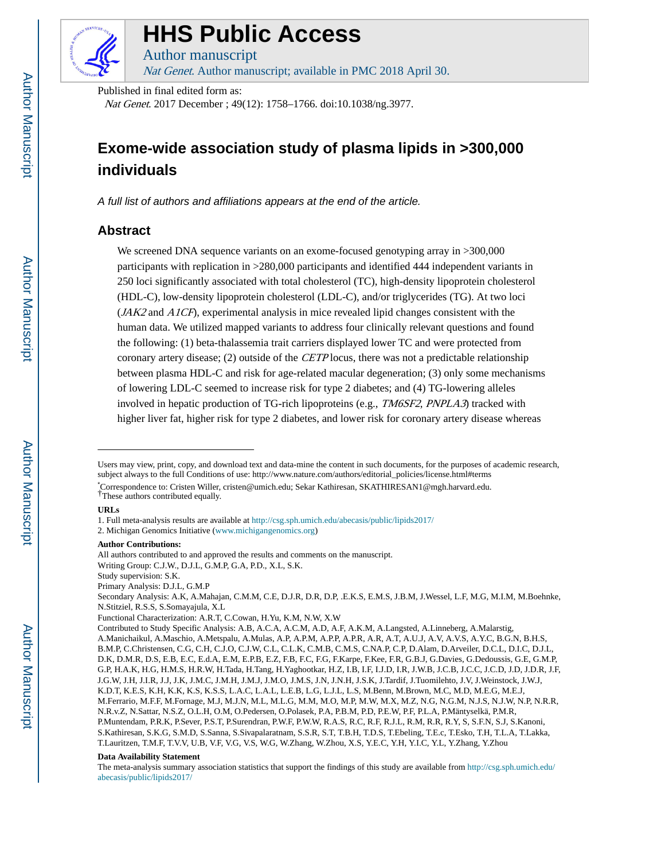

# **HHS Public Access**

Author manuscript Nat Genet. Author manuscript; available in PMC 2018 April 30.

Published in final edited form as:

Nat Genet. 2017 December ; 49(12): 1758–1766. doi:10.1038/ng.3977.

## **Exome-wide association study of plasma lipids in >300,000 individuals**

A full list of authors and affiliations appears at the end of the article.

## **Abstract**

We screened DNA sequence variants on an exome-focused genotyping array in >300,000 participants with replication in >280,000 participants and identified 444 independent variants in 250 loci significantly associated with total cholesterol (TC), high-density lipoprotein cholesterol (HDL-C), low-density lipoprotein cholesterol (LDL-C), and/or triglycerides (TG). At two loci (JAK2 and A1CF), experimental analysis in mice revealed lipid changes consistent with the human data. We utilized mapped variants to address four clinically relevant questions and found the following: (1) beta-thalassemia trait carriers displayed lower TC and were protected from coronary artery disease; (2) outside of the CETP locus, there was not a predictable relationship between plasma HDL-C and risk for age-related macular degeneration; (3) only some mechanisms of lowering LDL-C seemed to increase risk for type 2 diabetes; and (4) TG-lowering alleles involved in hepatic production of TG-rich lipoproteins (e.g., *TM6SF2, PNPLA3*) tracked with higher liver fat, higher risk for type 2 diabetes, and lower risk for coronary artery disease whereas

#### **URLs**

#### **Author Contributions:**

Primary Analysis: D.J.L, G.M.P

Functional Characterization: A.R.T, C.Cowan, H.Yu, K.M, N.W, X.W

#### **Data Availability Statement**

Users may view, print, copy, and download text and data-mine the content in such documents, for the purposes of academic research, subject always to the full Conditions of use: http://www.nature.com/authors/editorial\_policies/license.html#terms

<sup>\*</sup>Correspondence to: Cristen Willer, cristen@umich.edu; Sekar Kathiresan, SKATHIRESAN1@mgh.harvard.edu. †These authors contributed equally.

<sup>1.</sup> Full meta-analysis results are available at <http://csg.sph.umich.edu/abecasis/public/lipids2017/>

<sup>2.</sup> Michigan Genomics Initiative (www.michigangenomics.org)

All authors contributed to and approved the results and comments on the manuscript. Writing Group: C.J.W., D.J.L, G.M.P, G.A, P.D., X.L, S.K.

Study supervision: S.K.

Secondary Analysis: A.K, A.Mahajan, C.M.M, C.E, D.J.R, D.R, D.P, .E.K.S, E.M.S, J.B.M, J.Wessel, L.F, M.G, M.I.M, M.Boehnke, N.Stitziel, R.S.S, S.Somayajula, X.L

Contributed to Study Specific Analysis: A.B, A.C.A, A.C.M, A.D, A.F, A.K.M, A.Langsted, A.Linneberg, A.Malarstig, A.Manichaikul, A.Maschio, A.Metspalu, A.Mulas, A.P, A.P.M, A.P.P, A.P.R, A.R, A.T, A.U.J, A.V, A.V.S, A.Y.C, B.G.N, B.H.S, B.M.P, C.Christensen, C.G, C.H, C.J.O, C.J.W, C.L, C.L.K, C.M.B, C.M.S, C.NA.P, C.P, D.Alam, D.Arveiler, D.C.L, D.I.C, D.J.L, D.K, D.M.R, D.S, E.B, E.C, E.d.A, E.M, E.P.B, E.Z, F.B, F.C, F.G, F.Karpe, F.Kee, F.R, G.B.J, G.Davies, G.Dedoussis, G.E, G.M.P, G.P, H.A.K, H.G, H.M.S, H.R.W, H.Tada, H.Tang, H.Yaghootkar, H.Z, I.B, I.F, I.J.D, I.R, J.W.B, J.C.B, J.C.C, J.C.D, J.D, J.D.R, J.F, J.G.W, J.H, J.I.R, J.J, J.K, J.M.C, J.M.H, J.M.J, J.M.O, J.M.S, J.N, J.N.H, J.S.K, J.Tardif, J.Tuomilehto, J.V, J.Weinstock, J.W.J, K.D.T, K.E.S, K.H, K.K, K.S, K.S.S, L.A.C, L.A.L, L.E.B, L.G, L.J.L, L.S, M.Benn, M.Brown, M.C, M.D, M.E.G, M.E.J, M.Ferrario, M.F.F, M.Fornage, M.J, M.J.N, M.L, M.L.G, M.M, M.O, M.P, M.W, M.X, M.Z, N.G, N.G.M, N.J.S, N.J.W, N.P, N.R.R, N.R.v.Z, N.Sattar, N.S.Z, O.L.H, O.M, O.Pedersen, O.Polasek, P.A, P.B.M, P.D, P.E.W, P.F, P.L.A, P.Mäntyselkä, P.M.R, P.Muntendam, P.R.K, P.Sever, P.S.T, P.Surendran, P.W.F, P.W.W, R.A.S, R.C, R.F, R.J.L, R.M, R.R, R.Y, S, S.F.N, S.J, S.Kanoni, S.Kathiresan, S.K.G, S.M.D, S.Sanna, S.Sivapalaratnam, S.S.R, S.T, T.B.H, T.D.S, T.Ebeling, T.E.c, T.Esko, T.H, T.L.A, T.Lakka, T.Lauritzen, T.M.F, T.V.V, U.B, V.F, V.G, V.S, W.G, W.Zhang, W.Zhou, X.S, Y.E.C, Y.H, Y.I.C, Y.L, Y.Zhang, Y.Zhou

The meta-analysis summary association statistics that support the findings of this study are available from [http://csg.sph.umich.edu/](http://csg.sph.umich.edu/abecasis/public/lipids2017/) [abecasis/public/lipids2017/](http://csg.sph.umich.edu/abecasis/public/lipids2017/)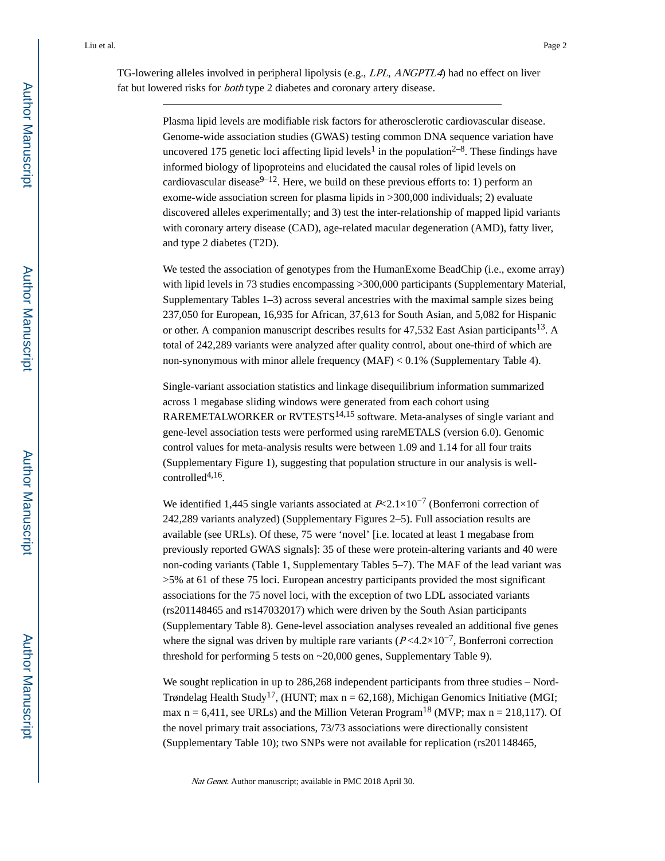TG-lowering alleles involved in peripheral lipolysis (e.g., LPL, ANGPTL4) had no effect on liver fat but lowered risks for *both* type 2 diabetes and coronary artery disease.

> Plasma lipid levels are modifiable risk factors for atherosclerotic cardiovascular disease. Genome-wide association studies (GWAS) testing common DNA sequence variation have uncovered 175 genetic loci affecting lipid levels<sup>1</sup> in the population<sup>2-8</sup>. These findings have informed biology of lipoproteins and elucidated the causal roles of lipid levels on cardiovascular disease  $9-12$ . Here, we build on these previous efforts to: 1) perform an exome-wide association screen for plasma lipids in >300,000 individuals; 2) evaluate discovered alleles experimentally; and 3) test the inter-relationship of mapped lipid variants with coronary artery disease (CAD), age-related macular degeneration (AMD), fatty liver, and type 2 diabetes (T2D).

We tested the association of genotypes from the HumanExome BeadChip (i.e., exome array) with lipid levels in 73 studies encompassing  $>300,000$  participants (Supplementary Material, Supplementary Tables 1–3) across several ancestries with the maximal sample sizes being 237,050 for European, 16,935 for African, 37,613 for South Asian, and 5,082 for Hispanic or other. A companion manuscript describes results for  $47,532$  East Asian participants<sup>13</sup>. A total of 242,289 variants were analyzed after quality control, about one-third of which are non-synonymous with minor allele frequency (MAF) < 0.1% (Supplementary Table 4).

Single-variant association statistics and linkage disequilibrium information summarized across 1 megabase sliding windows were generated from each cohort using RAREMETALWORKER or RVTESTS<sup>14,15</sup> software. Meta-analyses of single variant and gene-level association tests were performed using rareMETALS (version 6.0). Genomic control values for meta-analysis results were between 1.09 and 1.14 for all four traits (Supplementary Figure 1), suggesting that population structure in our analysis is well $controlled<sup>4,16</sup>$ .

We identified 1,445 single variants associated at  $P \le 2.1 \times 10^{-7}$  (Bonferroni correction of 242,289 variants analyzed) (Supplementary Figures 2–5). Full association results are available (see URLs). Of these, 75 were 'novel' [i.e. located at least 1 megabase from previously reported GWAS signals]: 35 of these were protein-altering variants and 40 were non-coding variants (Table 1, Supplementary Tables 5–7). The MAF of the lead variant was >5% at 61 of these 75 loci. European ancestry participants provided the most significant associations for the 75 novel loci, with the exception of two LDL associated variants (rs201148465 and rs147032017) which were driven by the South Asian participants (Supplementary Table 8). Gene-level association analyses revealed an additional five genes where the signal was driven by multiple rare variants ( $P \le 4.2 \times 10^{-7}$ , Bonferroni correction threshold for performing 5 tests on ~20,000 genes, Supplementary Table 9).

We sought replication in up to 286,268 independent participants from three studies – Nord-Trøndelag Health Study<sup>17</sup>, (HUNT; max  $n = 62,168$ ), Michigan Genomics Initiative (MGI; max  $n = 6,411$ , see URLs) and the Million Veteran Program<sup>18</sup> (MVP; max  $n = 218,117$ ). Of the novel primary trait associations, 73/73 associations were directionally consistent (Supplementary Table 10); two SNPs were not available for replication (rs201148465,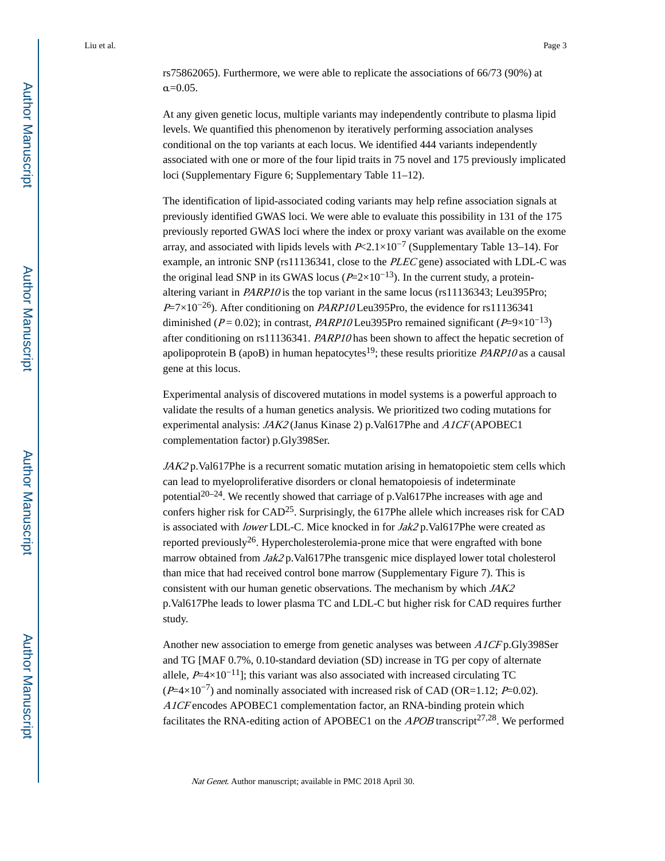At any given genetic locus, multiple variants may independently contribute to plasma lipid levels. We quantified this phenomenon by iteratively performing association analyses conditional on the top variants at each locus. We identified 444 variants independently associated with one or more of the four lipid traits in 75 novel and 175 previously implicated loci (Supplementary Figure 6; Supplementary Table 11–12).

The identification of lipid-associated coding variants may help refine association signals at previously identified GWAS loci. We were able to evaluate this possibility in 131 of the 175 previously reported GWAS loci where the index or proxy variant was available on the exome array, and associated with lipids levels with  $P\ll 2.1\times10^{-7}$  (Supplementary Table 13–14). For example, an intronic SNP (rs11136341, close to the PLEC gene) associated with LDL-C was the original lead SNP in its GWAS locus ( $P=2\times10^{-13}$ ). In the current study, a proteinaltering variant in *PARP10* is the top variant in the same locus (rs11136343; Leu395Pro;  $P=7\times10^{-26}$ ). After conditioning on PARP10 Leu395Pro, the evidence for rs11136341 diminished ( $P = 0.02$ ); in contrast, *PARP10* Leu395Pro remained significant ( $P=9\times10^{-13}$ ) after conditioning on rs11136341. PARP10 has been shown to affect the hepatic secretion of apolipoprotein B (apoB) in human hepatocytes<sup>19</sup>; these results prioritize *PARP10* as a causal gene at this locus.

Experimental analysis of discovered mutations in model systems is a powerful approach to validate the results of a human genetics analysis. We prioritized two coding mutations for experimental analysis: *JAK2* (Janus Kinase 2) p.Val617Phe and *A1CF* (APOBEC1 complementation factor) p.Gly398Ser.

JAK2 p.Val617Phe is a recurrent somatic mutation arising in hematopoietic stem cells which can lead to myeloproliferative disorders or clonal hematopoiesis of indeterminate potential<sup>20–24</sup>. We recently showed that carriage of p.Val617Phe increases with age and confers higher risk for CAD25. Surprisingly, the 617Phe allele which increases risk for CAD is associated with lower LDL-C. Mice knocked in for Jak2 p.Val617Phe were created as reported previously<sup>26</sup>. Hypercholesterolemia-prone mice that were engrafted with bone marrow obtained from  $Jak2$  p.Val617Phe transgenic mice displayed lower total cholesterol than mice that had received control bone marrow (Supplementary Figure 7). This is consistent with our human genetic observations. The mechanism by which JAK2 p.Val617Phe leads to lower plasma TC and LDL-C but higher risk for CAD requires further study.

Another new association to emerge from genetic analyses was between A1CF p.Gly398Ser and TG [MAF 0.7%, 0.10-standard deviation (SD) increase in TG per copy of alternate allele,  $P=4\times10^{-11}$ ]; this variant was also associated with increased circulating TC  $(P=4\times10^{-7})$  and nominally associated with increased risk of CAD (OR=1.12; P=0.02). A1CF encodes APOBEC1 complementation factor, an RNA-binding protein which facilitates the RNA-editing action of APOBEC1 on the *APOB* transcript<sup>27,28</sup>. We performed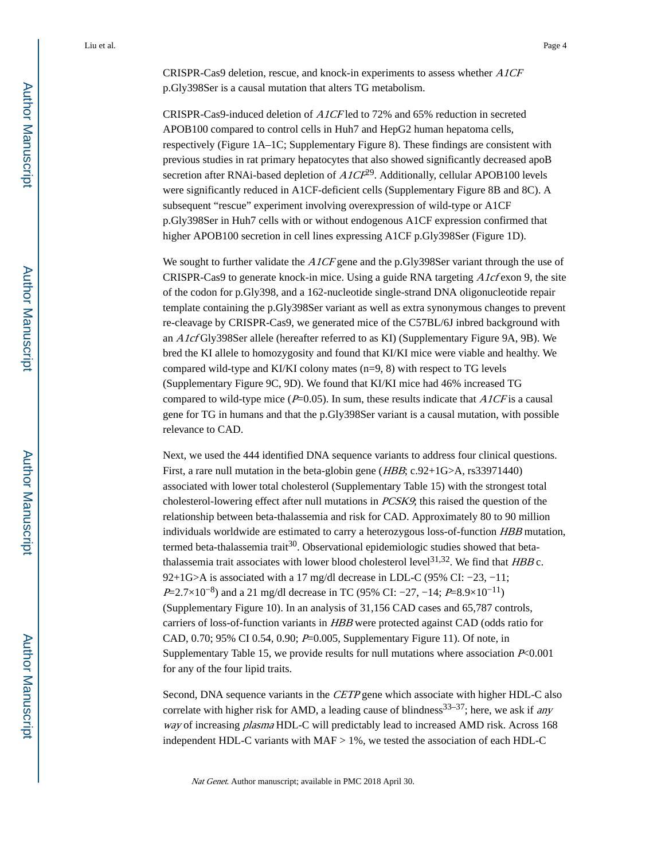CRISPR-Cas9 deletion, rescue, and knock-in experiments to assess whether A1CF p.Gly398Ser is a causal mutation that alters TG metabolism.

CRISPR-Cas9-induced deletion of A1CF led to 72% and 65% reduction in secreted APOB100 compared to control cells in Huh7 and HepG2 human hepatoma cells, respectively (Figure 1A–1C; Supplementary Figure 8). These findings are consistent with previous studies in rat primary hepatocytes that also showed significantly decreased apoB secretion after RNAi-based depletion of  $AICF<sup>29</sup>$ . Additionally, cellular APOB100 levels were significantly reduced in A1CF-deficient cells (Supplementary Figure 8B and 8C). A subsequent "rescue" experiment involving overexpression of wild-type or A1CF p.Gly398Ser in Huh7 cells with or without endogenous A1CF expression confirmed that higher APOB100 secretion in cell lines expressing A1CF p.Gly398Ser (Figure 1D).

We sought to further validate the A1CF gene and the p.Gly398Ser variant through the use of CRISPR-Cas9 to generate knock-in mice. Using a guide RNA targeting  $A1cf$  exon 9, the site of the codon for p.Gly398, and a 162-nucleotide single-strand DNA oligonucleotide repair template containing the p.Gly398Ser variant as well as extra synonymous changes to prevent re-cleavage by CRISPR-Cas9, we generated mice of the C57BL/6J inbred background with an A1cf Gly398Ser allele (hereafter referred to as KI) (Supplementary Figure 9A, 9B). We bred the KI allele to homozygosity and found that KI/KI mice were viable and healthy. We compared wild-type and KI/KI colony mates (n=9, 8) with respect to TG levels (Supplementary Figure 9C, 9D). We found that KI/KI mice had 46% increased TG compared to wild-type mice  $(P=0.05)$ . In sum, these results indicate that  $A1CF$  is a causal gene for TG in humans and that the p.Gly398Ser variant is a causal mutation, with possible relevance to CAD.

Next, we used the 444 identified DNA sequence variants to address four clinical questions. First, a rare null mutation in the beta-globin gene (*HBB*; c.92+1G>A, rs33971440) associated with lower total cholesterol (Supplementary Table 15) with the strongest total cholesterol-lowering effect after null mutations in PCSK9; this raised the question of the relationship between beta-thalassemia and risk for CAD. Approximately 80 to 90 million individuals worldwide are estimated to carry a heterozygous loss-of-function HBB mutation, termed beta-thalassemia trait<sup>30</sup>. Observational epidemiologic studies showed that betathalassemia trait associates with lower blood cholesterol level<sup>31,32</sup>. We find that  $HBB$  c. 92+1G>A is associated with a 17 mg/dl decrease in LDL-C (95% CI: −23, −11; P=2.7×10<sup>-8</sup>) and a 21 mg/dl decrease in TC (95% CI: -27, -14; P=8.9×10<sup>-11</sup>) (Supplementary Figure 10). In an analysis of 31,156 CAD cases and 65,787 controls, carriers of loss-of-function variants in HBB were protected against CAD (odds ratio for CAD, 0.70; 95% CI 0.54, 0.90; P=0.005, Supplementary Figure 11). Of note, in Supplementary Table 15, we provide results for null mutations where association  $P<0.001$ for any of the four lipid traits.

Second, DNA sequence variants in the CETP gene which associate with higher HDL-C also correlate with higher risk for AMD, a leading cause of blindness<sup>33–37</sup>; here, we ask if any way of increasing *plasma* HDL-C will predictably lead to increased AMD risk. Across 168 independent HDL-C variants with  $MAF > 1\%$ , we tested the association of each HDL-C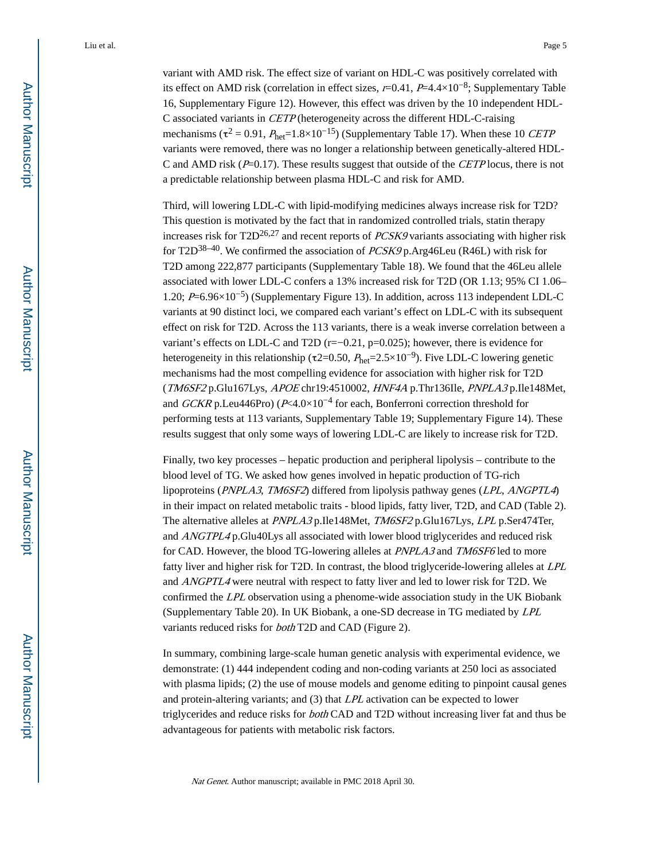variant with AMD risk. The effect size of variant on HDL-C was positively correlated with its effect on AMD risk (correlation in effect sizes,  $r=0.41$ ,  $P=4.4\times10^{-8}$ ; Supplementary Table 16, Supplementary Figure 12). However, this effect was driven by the 10 independent HDL-C associated variants in CETP (heterogeneity across the different HDL-C-raising mechanisms ( $\tau^2 = 0.91$ ,  $P_{\text{het}} = 1.8 \times 10^{-15}$ ) (Supplementary Table 17). When these 10 *CETP* variants were removed, there was no longer a relationship between genetically-altered HDL-C and AMD risk  $(P=0.17)$ . These results suggest that outside of the CETP locus, there is not a predictable relationship between plasma HDL-C and risk for AMD.

Third, will lowering LDL-C with lipid-modifying medicines always increase risk for T2D? This question is motivated by the fact that in randomized controlled trials, statin therapy increases risk for  $T2D^{26,27}$  and recent reports of *PCSK9* variants associating with higher risk for T2D<sup>38–40</sup>. We confirmed the association of  $PCSK9$  p.Arg46Leu (R46L) with risk for T2D among 222,877 participants (Supplementary Table 18). We found that the 46Leu allele associated with lower LDL-C confers a 13% increased risk for T2D (OR 1.13; 95% CI 1.06– 1.20; P=6.96×10−5) (Supplementary Figure 13). In addition, across 113 independent LDL-C variants at 90 distinct loci, we compared each variant's effect on LDL-C with its subsequent effect on risk for T2D. Across the 113 variants, there is a weak inverse correlation between a variant's effects on LDL-C and T2D (r=−0.21, p=0.025); however, there is evidence for heterogeneity in this relationship ( $\tau$ 2=0.50,  $P_{\text{het}}$ =2.5×10<sup>-9</sup>). Five LDL-C lowering genetic mechanisms had the most compelling evidence for association with higher risk for T2D (TM6SF2 p.Glu167Lys, APOE chr19:4510002, HNF4A p.Thr136Ile, PNPLA3 p.Ile148Met, and GCKR p.Leu446Pro) (P<4.0×10−4 for each, Bonferroni correction threshold for performing tests at 113 variants, Supplementary Table 19; Supplementary Figure 14). These results suggest that only some ways of lowering LDL-C are likely to increase risk for T2D.

Finally, two key processes – hepatic production and peripheral lipolysis – contribute to the blood level of TG. We asked how genes involved in hepatic production of TG-rich lipoproteins (PNPLA3, TM6SF2) differed from lipolysis pathway genes (LPL, ANGPTL4) in their impact on related metabolic traits - blood lipids, fatty liver, T2D, and CAD (Table 2). The alternative alleles at PNPLA3 p.Ile148Met, TM6SF2 p.Glu167Lys, LPL p.Ser474Ter, and ANGTPL4 p.Glu40Lys all associated with lower blood triglycerides and reduced risk for CAD. However, the blood TG-lowering alleles at PNPLA3 and TM6SF6 led to more fatty liver and higher risk for T2D. In contrast, the blood triglyceride-lowering alleles at LPL and ANGPTL4 were neutral with respect to fatty liver and led to lower risk for T2D. We confirmed the LPL observation using a phenome-wide association study in the UK Biobank (Supplementary Table 20). In UK Biobank, a one-SD decrease in TG mediated by LPL variants reduced risks for both T2D and CAD (Figure 2).

In summary, combining large-scale human genetic analysis with experimental evidence, we demonstrate: (1) 444 independent coding and non-coding variants at 250 loci as associated with plasma lipids; (2) the use of mouse models and genome editing to pinpoint causal genes and protein-altering variants; and (3) that LPL activation can be expected to lower triglycerides and reduce risks for *both* CAD and T2D without increasing liver fat and thus be advantageous for patients with metabolic risk factors.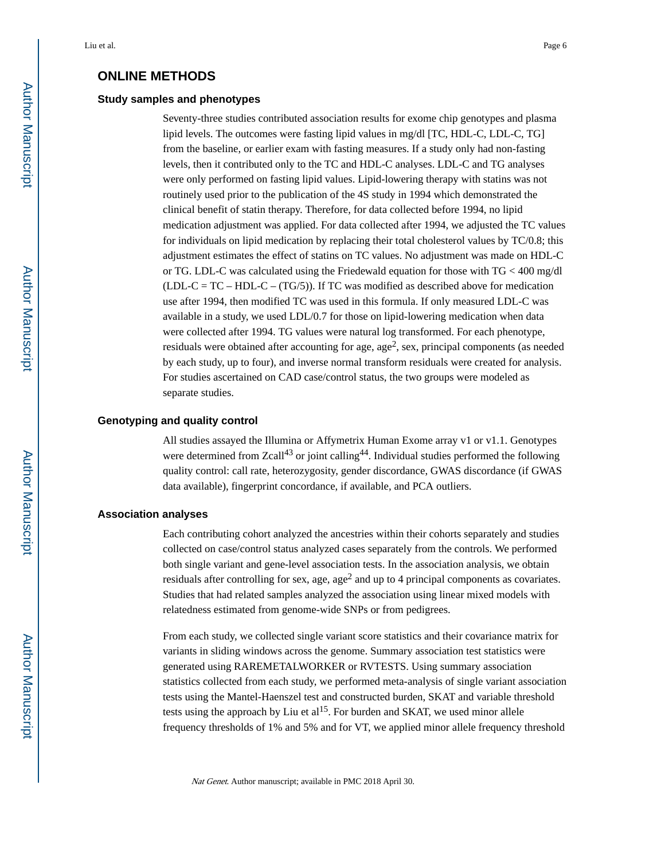## **ONLINE METHODS**

## **Study samples and phenotypes**

Seventy-three studies contributed association results for exome chip genotypes and plasma lipid levels. The outcomes were fasting lipid values in mg/dl [TC, HDL-C, LDL-C, TG] from the baseline, or earlier exam with fasting measures. If a study only had non-fasting levels, then it contributed only to the TC and HDL-C analyses. LDL-C and TG analyses were only performed on fasting lipid values. Lipid-lowering therapy with statins was not routinely used prior to the publication of the 4S study in 1994 which demonstrated the clinical benefit of statin therapy. Therefore, for data collected before 1994, no lipid medication adjustment was applied. For data collected after 1994, we adjusted the TC values for individuals on lipid medication by replacing their total cholesterol values by TC/0.8; this adjustment estimates the effect of statins on TC values. No adjustment was made on HDL-C or TG. LDL-C was calculated using the Friedewald equation for those with TG < 400 mg/dl  $(LDL-C = TC - HDL-C - (TG/5))$ . If TC was modified as described above for medication use after 1994, then modified TC was used in this formula. If only measured LDL-C was available in a study, we used LDL/0.7 for those on lipid-lowering medication when data were collected after 1994. TG values were natural log transformed. For each phenotype, residuals were obtained after accounting for age, age<sup>2</sup>, sex, principal components (as needed by each study, up to four), and inverse normal transform residuals were created for analysis. For studies ascertained on CAD case/control status, the two groups were modeled as separate studies.

## **Genotyping and quality control**

All studies assayed the Illumina or Affymetrix Human Exome array v1 or v1.1. Genotypes were determined from  $Z\text{call}^{43}$  or joint calling<sup>44</sup>. Individual studies performed the following quality control: call rate, heterozygosity, gender discordance, GWAS discordance (if GWAS data available), fingerprint concordance, if available, and PCA outliers.

## **Association analyses**

Each contributing cohort analyzed the ancestries within their cohorts separately and studies collected on case/control status analyzed cases separately from the controls. We performed both single variant and gene-level association tests. In the association analysis, we obtain residuals after controlling for sex, age, age $<sup>2</sup>$  and up to 4 principal components as covariates.</sup> Studies that had related samples analyzed the association using linear mixed models with relatedness estimated from genome-wide SNPs or from pedigrees.

From each study, we collected single variant score statistics and their covariance matrix for variants in sliding windows across the genome. Summary association test statistics were generated using RAREMETALWORKER or RVTESTS. Using summary association statistics collected from each study, we performed meta-analysis of single variant association tests using the Mantel-Haenszel test and constructed burden, SKAT and variable threshold tests using the approach by Liu et  $al^{15}$ . For burden and SKAT, we used minor allele frequency thresholds of 1% and 5% and for VT, we applied minor allele frequency threshold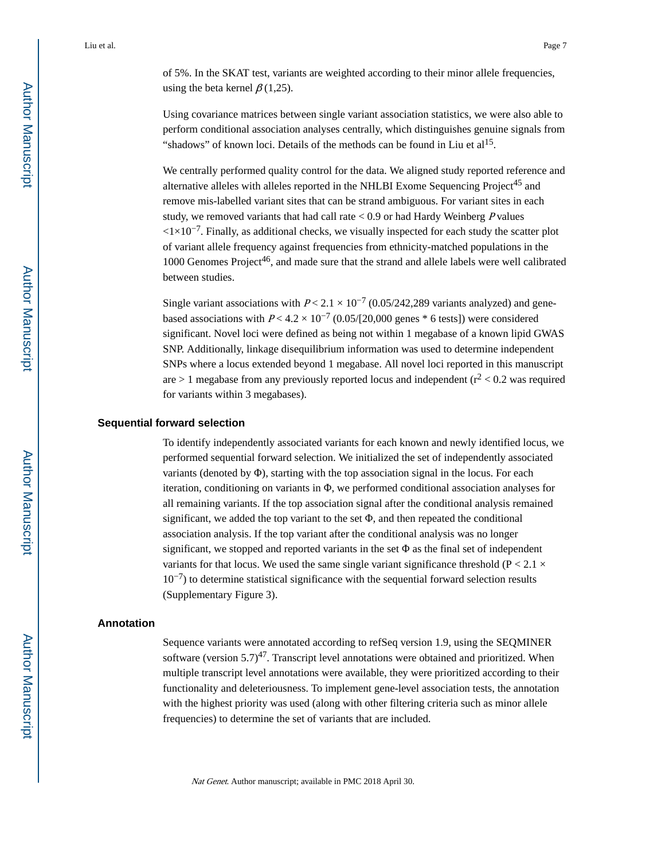of 5%. In the SKAT test, variants are weighted according to their minor allele frequencies, using the beta kernel  $\beta$  (1,25).

Using covariance matrices between single variant association statistics, we were also able to perform conditional association analyses centrally, which distinguishes genuine signals from "shadows" of known loci. Details of the methods can be found in Liu et  $al<sup>15</sup>$ .

We centrally performed quality control for the data. We aligned study reported reference and alternative alleles with alleles reported in the NHLBI Exome Sequencing Project<sup>45</sup> and remove mis-labelled variant sites that can be strand ambiguous. For variant sites in each study, we removed variants that had call rate  $< 0.9$  or had Hardy Weinberg P values  $\langle 1 \times 10^{-7}$ . Finally, as additional checks, we visually inspected for each study the scatter plot of variant allele frequency against frequencies from ethnicity-matched populations in the  $1000$  Genomes Project<sup>46</sup>, and made sure that the strand and allele labels were well calibrated between studies.

Single variant associations with  $P < 2.1 \times 10^{-7}$  (0.05/242,289 variants analyzed) and genebased associations with  $P < 4.2 \times 10^{-7}$  (0.05/[20,000 genes \* 6 tests]) were considered significant. Novel loci were defined as being not within 1 megabase of a known lipid GWAS SNP. Additionally, linkage disequilibrium information was used to determine independent SNPs where a locus extended beyond 1 megabase. All novel loci reported in this manuscript are  $> 1$  megabase from any previously reported locus and independent ( $r^2$  < 0.2 was required for variants within 3 megabases).

## **Sequential forward selection**

To identify independently associated variants for each known and newly identified locus, we performed sequential forward selection. We initialized the set of independently associated variants (denoted by  $\Phi$ ), starting with the top association signal in the locus. For each iteration, conditioning on variants in Φ, we performed conditional association analyses for all remaining variants. If the top association signal after the conditional analysis remained significant, we added the top variant to the set  $\Phi$ , and then repeated the conditional association analysis. If the top variant after the conditional analysis was no longer significant, we stopped and reported variants in the set  $\Phi$  as the final set of independent variants for that locus. We used the same single variant significance threshold ( $P < 2.1 \times$  $10^{-7}$ ) to determine statistical significance with the sequential forward selection results (Supplementary Figure 3).

## **Annotation**

Sequence variants were annotated according to refSeq version 1.9, using the SEQMINER software (version  $5.7$ )<sup>47</sup>. Transcript level annotations were obtained and prioritized. When multiple transcript level annotations were available, they were prioritized according to their functionality and deleteriousness. To implement gene-level association tests, the annotation with the highest priority was used (along with other filtering criteria such as minor allele frequencies) to determine the set of variants that are included.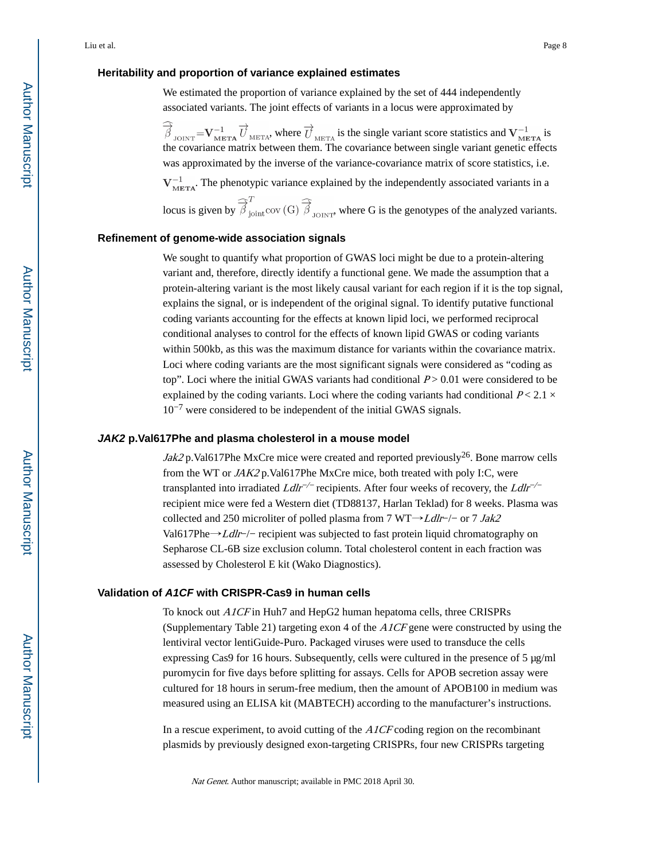## **Heritability and proportion of variance explained estimates**

We estimated the proportion of variance explained by the set of 444 independently associated variants. The joint effects of variants in a locus were approximated by

 $\hat{\vec{\beta}}_{\text{JOINT}} = V_{\text{META}}^{-1} \vec{U}_{\text{META}}$ , where  $\vec{U}_{\text{META}}$  is the single variant score statistics and  $V_{\text{META}}^{-1}$  is the covariance matrix between them. The covariance between single variant genetic effects was approximated by the inverse of the variance-covariance matrix of score statistics, i.e.

 $V_{\text{META}}^{-1}$ . The phenotypic variance explained by the independently associated variants in a

locus is given by  $\widehat{\overrightarrow{\beta}}_{\text{joint}}^T$  cov (G)  $\widehat{\overrightarrow{\beta}}_{\text{JONT}}$ , where G is the genotypes of the analyzed variants.

## **Refinement of genome-wide association signals**

We sought to quantify what proportion of GWAS loci might be due to a protein-altering variant and, therefore, directly identify a functional gene. We made the assumption that a protein-altering variant is the most likely causal variant for each region if it is the top signal, explains the signal, or is independent of the original signal. To identify putative functional coding variants accounting for the effects at known lipid loci, we performed reciprocal conditional analyses to control for the effects of known lipid GWAS or coding variants within 500kb, as this was the maximum distance for variants within the covariance matrix. Loci where coding variants are the most significant signals were considered as "coding as top". Loci where the initial GWAS variants had conditional  $P > 0.01$  were considered to be explained by the coding variants. Loci where the coding variants had conditional  $P < 2.1 \times$  $10^{-7}$  were considered to be independent of the initial GWAS signals.

#### **JAK2 p.Val617Phe and plasma cholesterol in a mouse model**

*Jak2* p.Val617Phe MxCre mice were created and reported previously<sup>26</sup>. Bone marrow cells from the WT or  $JAK2$  p.Val617Phe MxCre mice, both treated with poly I:C, were transplanted into irradiated  $L dlr^{-/-}$  recipients. After four weeks of recovery, the  $L dlr^{-/-}$ recipient mice were fed a Western diet (TD88137, Harlan Teklad) for 8 weeks. Plasma was collected and 250 microliter of polled plasma from 7 WT→Ldlr−/− or 7 Jak2 Val617Phe→Ldlr−/− recipient was subjected to fast protein liquid chromatography on Sepharose CL-6B size exclusion column. Total cholesterol content in each fraction was assessed by Cholesterol E kit (Wako Diagnostics).

## **Validation of A1CF with CRISPR-Cas9 in human cells**

To knock out *A1CF* in Huh7 and HepG2 human hepatoma cells, three CRISPRs (Supplementary Table 21) targeting exon 4 of the A1CF gene were constructed by using the lentiviral vector lentiGuide-Puro. Packaged viruses were used to transduce the cells expressing Cas9 for 16 hours. Subsequently, cells were cultured in the presence of 5 μg/ml puromycin for five days before splitting for assays. Cells for APOB secretion assay were cultured for 18 hours in serum-free medium, then the amount of APOB100 in medium was measured using an ELISA kit (MABTECH) according to the manufacturer's instructions.

In a rescue experiment, to avoid cutting of the A1CF coding region on the recombinant plasmids by previously designed exon-targeting CRISPRs, four new CRISPRs targeting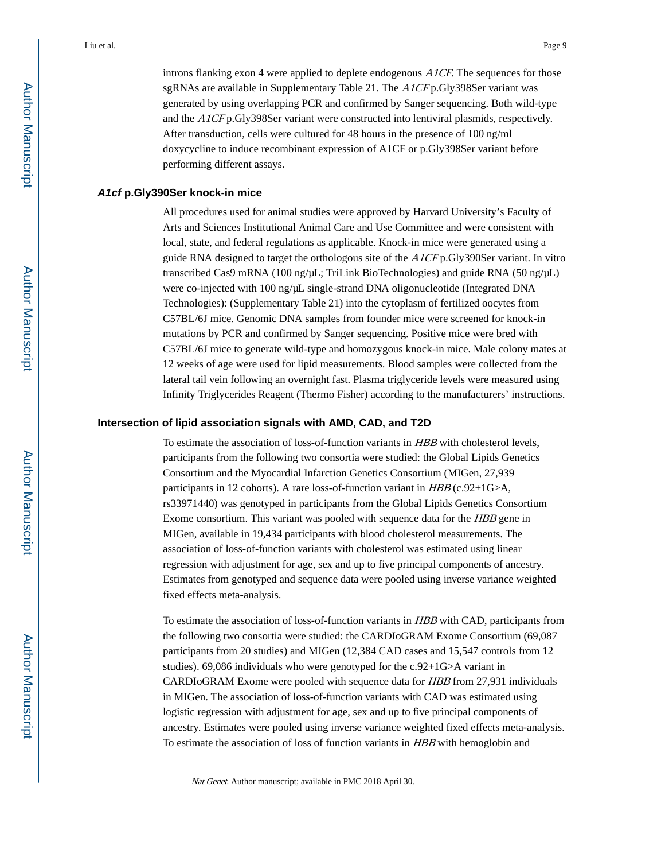introns flanking exon 4 were applied to deplete endogenous A1CF. The sequences for those sgRNAs are available in Supplementary Table 21. The A1CF p.Gly398Ser variant was generated by using overlapping PCR and confirmed by Sanger sequencing. Both wild-type and the A1CF p.Gly398Ser variant were constructed into lentiviral plasmids, respectively. After transduction, cells were cultured for 48 hours in the presence of 100 ng/ml doxycycline to induce recombinant expression of A1CF or p.Gly398Ser variant before performing different assays.

## **A1cf p.Gly390Ser knock-in mice**

All procedures used for animal studies were approved by Harvard University's Faculty of Arts and Sciences Institutional Animal Care and Use Committee and were consistent with local, state, and federal regulations as applicable. Knock-in mice were generated using a guide RNA designed to target the orthologous site of the  $AICF<sub>p</sub>$ . Gly390Ser variant. In vitro transcribed Cas9 mRNA (100 ng/μL; TriLink BioTechnologies) and guide RNA (50 ng/μL) were co-injected with 100 ng/μL single-strand DNA oligonucleotide (Integrated DNA Technologies): (Supplementary Table 21) into the cytoplasm of fertilized oocytes from C57BL/6J mice. Genomic DNA samples from founder mice were screened for knock-in mutations by PCR and confirmed by Sanger sequencing. Positive mice were bred with C57BL/6J mice to generate wild-type and homozygous knock-in mice. Male colony mates at 12 weeks of age were used for lipid measurements. Blood samples were collected from the lateral tail vein following an overnight fast. Plasma triglyceride levels were measured using Infinity Triglycerides Reagent (Thermo Fisher) according to the manufacturers' instructions.

### **Intersection of lipid association signals with AMD, CAD, and T2D**

To estimate the association of loss-of-function variants in HBB with cholesterol levels, participants from the following two consortia were studied: the Global Lipids Genetics Consortium and the Myocardial Infarction Genetics Consortium (MIGen, 27,939 participants in 12 cohorts). A rare loss-of-function variant in  $HBB$  (c.92+1G>A, rs33971440) was genotyped in participants from the Global Lipids Genetics Consortium Exome consortium. This variant was pooled with sequence data for the HBB gene in MIGen, available in 19,434 participants with blood cholesterol measurements. The association of loss-of-function variants with cholesterol was estimated using linear regression with adjustment for age, sex and up to five principal components of ancestry. Estimates from genotyped and sequence data were pooled using inverse variance weighted fixed effects meta-analysis.

To estimate the association of loss-of-function variants in HBB with CAD, participants from the following two consortia were studied: the CARDIoGRAM Exome Consortium (69,087 participants from 20 studies) and MIGen (12,384 CAD cases and 15,547 controls from 12 studies). 69,086 individuals who were genotyped for the c.92+1G>A variant in CARDIoGRAM Exome were pooled with sequence data for HBB from 27,931 individuals in MIGen. The association of loss-of-function variants with CAD was estimated using logistic regression with adjustment for age, sex and up to five principal components of ancestry. Estimates were pooled using inverse variance weighted fixed effects meta-analysis. To estimate the association of loss of function variants in HBB with hemoglobin and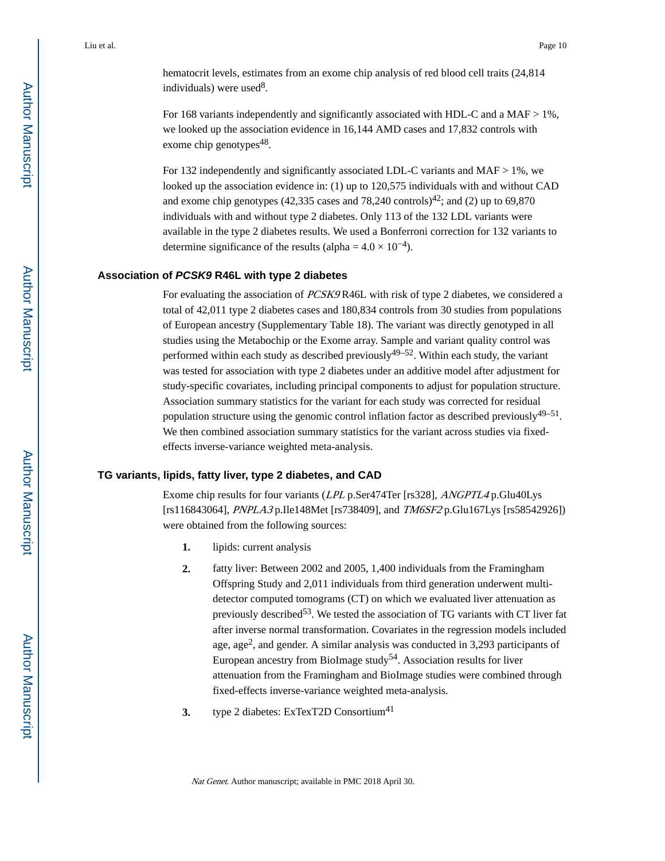hematocrit levels, estimates from an exome chip analysis of red blood cell traits (24,814 individuals) were used<sup>8</sup>.

For 168 variants independently and significantly associated with HDL-C and a MAF > 1%, we looked up the association evidence in 16,144 AMD cases and 17,832 controls with exome chip genotypes<sup>48</sup>.

For 132 independently and significantly associated LDL-C variants and MAF  $> 1\%$ , we looked up the association evidence in: (1) up to 120,575 individuals with and without CAD and exome chip genotypes (42,335 cases and 78,240 controls)<sup>42</sup>; and (2) up to 69,870 individuals with and without type 2 diabetes. Only 113 of the 132 LDL variants were available in the type 2 diabetes results. We used a Bonferroni correction for 132 variants to determine significance of the results (alpha =  $4.0 \times 10^{-4}$ ).

## **Association of PCSK9 R46L with type 2 diabetes**

For evaluating the association of *PCSK9* R46L with risk of type 2 diabetes, we considered a total of 42,011 type 2 diabetes cases and 180,834 controls from 30 studies from populations of European ancestry (Supplementary Table 18). The variant was directly genotyped in all studies using the Metabochip or the Exome array. Sample and variant quality control was performed within each study as described previously<sup>49–52</sup>. Within each study, the variant was tested for association with type 2 diabetes under an additive model after adjustment for study-specific covariates, including principal components to adjust for population structure. Association summary statistics for the variant for each study was corrected for residual population structure using the genomic control inflation factor as described previously<sup>49–51</sup>. We then combined association summary statistics for the variant across studies via fixedeffects inverse-variance weighted meta-analysis.

## **TG variants, lipids, fatty liver, type 2 diabetes, and CAD**

Exome chip results for four variants (LPL p.Ser474Ter [rs328], ANGPTL4 p.Glu40Lys [rs116843064], PNPLA3 p.Ile148Met [rs738409], and TM6SF2 p.Glu167Lys [rs58542926]) were obtained from the following sources:

- **1.** lipids: current analysis
- **2.** fatty liver: Between 2002 and 2005, 1,400 individuals from the Framingham Offspring Study and 2,011 individuals from third generation underwent multidetector computed tomograms (CT) on which we evaluated liver attenuation as previously described<sup>53</sup>. We tested the association of TG variants with CT liver fat after inverse normal transformation. Covariates in the regression models included age, age<sup>2</sup>, and gender. A similar analysis was conducted in 3,293 participants of European ancestry from BioImage study<sup>54</sup>. Association results for liver attenuation from the Framingham and BioImage studies were combined through fixed-effects inverse-variance weighted meta-analysis.
- **3.** type 2 diabetes: ExTexT2D Consortium<sup>41</sup>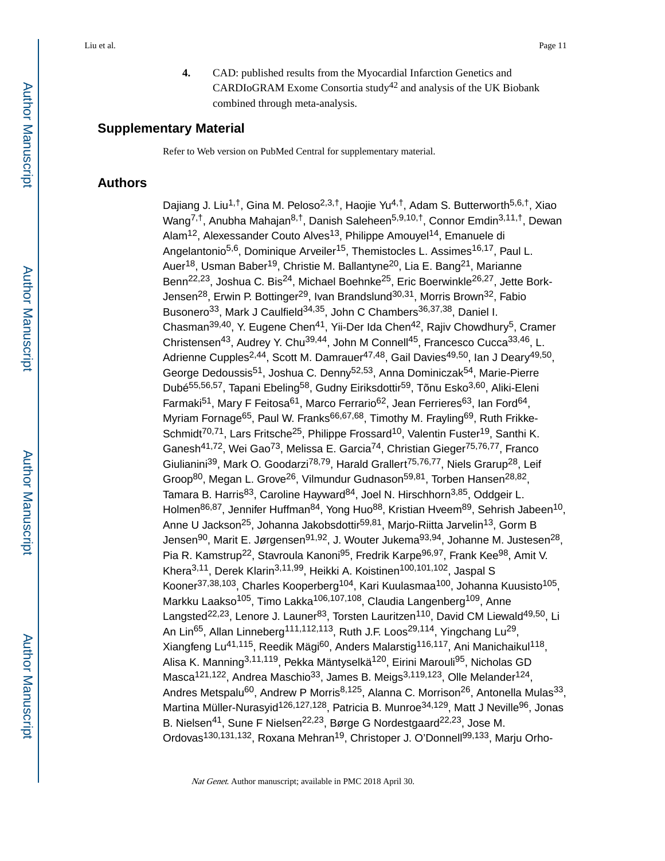**4.** CAD: published results from the Myocardial Infarction Genetics and CARDIOGRAM Exome Consortia study<sup>42</sup> and analysis of the UK Biobank combined through meta-analysis.

## **Supplementary Material**

Refer to Web version on PubMed Central for supplementary material.

## **Authors**

Dajiang J. Liu<sup>1,†</sup>, Gina M. Peloso<sup>2,3,†</sup>, Haojie Yu<sup>4,†</sup>, Adam S. Butterworth<sup>5,6,†</sup>, Xiao Wang<sup>7,†</sup>, Anubha Mahajan<sup>8,†</sup>, Danish Saleheen<sup>5,9,10,†</sup>, Connor Emdin<sup>3,11,†</sup>, Dewan Alam<sup>12</sup>, Alexessander Couto Alves<sup>13</sup>, Philippe Amouyel<sup>14</sup>, Emanuele di Angelantonio<sup>5,6</sup>, Dominique Arveiler<sup>15</sup>, Themistocles L. Assimes<sup>16,17</sup>, Paul L. Auer<sup>18</sup>, Usman Baber<sup>19</sup>, Christie M. Ballantyne<sup>20</sup>, Lia E. Bang<sup>21</sup>, Marianne Benn<sup>22,23</sup>, Joshua C. Bis<sup>24</sup>, Michael Boehnke<sup>25</sup>, Eric Boerwinkle<sup>26,27</sup>, Jette Bork-Jensen<sup>28</sup>, Erwin P. Bottinger<sup>29</sup>, Ivan Brandslund<sup>30,31</sup>, Morris Brown<sup>32</sup>, Fabio Busonero<sup>33</sup>, Mark J Caulfield<sup>34,35</sup>, John C Chambers<sup>36,37,38</sup>, Daniel I. Chasman<sup>39,40</sup>, Y. Eugene Chen<sup>41</sup>, Yii-Der Ida Chen<sup>42</sup>, Rajiv Chowdhury<sup>5</sup>, Cramer Christensen<sup>43</sup>, Audrey Y. Chu<sup>39,44</sup>, John M Connell<sup>45</sup>, Francesco Cucca<sup>33,46</sup>, L. Adrienne Cupples<sup>2,44</sup>, Scott M. Damrauer<sup>47,48</sup>, Gail Davies<sup>49,50</sup>, Ian J Deary<sup>49,50</sup>, George Dedoussis51, Joshua C. Denny52,53, Anna Dominiczak54, Marie-Pierre Dubé<sup>55,56,57</sup>, Tapani Ebeling<sup>58</sup>, Gudny Eiriksdottir<sup>59</sup>, Tõnu Esko<sup>3,60</sup>, Aliki-Eleni Farmaki<sup>51</sup>, Mary F Feitosa<sup>61</sup>, Marco Ferrario<sup>62</sup>, Jean Ferrieres<sup>63</sup>, Ian Ford<sup>64</sup>, Myriam Fornage<sup>65</sup>, Paul W. Franks<sup>66,67,68</sup>, Timothy M. Frayling<sup>69</sup>, Ruth Frikke-Schmidt<sup>70,71</sup>, Lars Fritsche<sup>25</sup>, Philippe Frossard<sup>10</sup>, Valentin Fuster<sup>19</sup>, Santhi K. Ganesh<sup>41,72</sup>, Wei Gao<sup>73</sup>, Melissa E. Garcia<sup>74</sup>, Christian Gieger<sup>75,76,77</sup>, Franco Giulianini<sup>39</sup>, Mark O. Goodarzi<sup>78,79</sup>, Harald Grallert<sup>75,76,77</sup>, Niels Grarup<sup>28</sup>, Leif Groop<sup>80</sup>, Megan L. Grove<sup>26</sup>, Vilmundur Gudnason<sup>59,81</sup>, Torben Hansen<sup>28,82</sup>, Tamara B. Harris<sup>83</sup>, Caroline Hayward<sup>84</sup>, Joel N. Hirschhorn<sup>3,85</sup>, Oddgeir L. Holmen<sup>86,87</sup>, Jennifer Huffman<sup>84</sup>, Yong Huo<sup>88</sup>, Kristian Hveem<sup>89</sup>, Sehrish Jabeen<sup>10</sup>, Anne U Jackson<sup>25</sup>, Johanna Jakobsdottir<sup>59,81</sup>, Marjo-Riitta Jarvelin<sup>13</sup>, Gorm B Jensen<sup>90</sup>, Marit E. Jørgensen<sup>91,92</sup>, J. Wouter Jukema<sup>93,94</sup>, Johanne M. Justesen<sup>28</sup>, Pia R. Kamstrup<sup>22</sup>, Stavroula Kanoni<sup>95</sup>, Fredrik Karpe<sup>96,97</sup>, Frank Kee<sup>98</sup>, Amit V. Khera<sup>3,11</sup>, Derek Klarin<sup>3,11,99</sup>, Heikki A. Koistinen<sup>100,101,102</sup>, Jaspal S Kooner<sup>37,38,103</sup>, Charles Kooperberg<sup>104</sup>, Kari Kuulasmaa<sup>100</sup>, Johanna Kuusisto<sup>105</sup>, Markku Laakso<sup>105</sup>, Timo Lakka<sup>106,107,108</sup>, Claudia Langenberg<sup>109</sup>, Anne Langsted<sup>22,23</sup>, Lenore J. Launer<sup>83</sup>, Torsten Lauritzen<sup>110</sup>, David CM Liewald<sup>49,50</sup>, Li An Lin<sup>65</sup>, Allan Linneberg<sup>111,112,113</sup>, Ruth J.F. Loos<sup>29,114</sup>, Yingchang Lu<sup>29</sup>, Xiangfeng Lu<sup>41,115</sup>, Reedik Mägi<sup>60</sup>, Anders Malarstig<sup>116,117</sup>, Ani Manichaikul<sup>118</sup>, Alisa K. Manning<sup>3,11,119</sup>, Pekka Mäntyselkä<sup>120</sup>, Eirini Marouli<sup>95</sup>, Nicholas GD Masca<sup>121,122</sup>, Andrea Maschio<sup>33</sup>, James B. Meigs<sup>3,119,123</sup>, Olle Melander<sup>124</sup>, Andres Metspalu<sup>60</sup>, Andrew P Morris<sup>8,125</sup>, Alanna C. Morrison<sup>26</sup>, Antonella Mulas<sup>33</sup>, Martina Müller-Nurasyid<sup>126,127,128</sup>, Patricia B. Munroe<sup>34,129</sup>, Matt J Neville<sup>96</sup>, Jonas B. Nielsen<sup>41</sup>, Sune F Nielsen<sup>22,23</sup>, Børge G Nordestgaard<sup>22,23</sup>, Jose M. Ordovas<sup>130,131,132</sup>, Roxana Mehran<sup>19</sup>, Christoper J. O'Donnell<sup>99,133</sup>, Mariu Orho-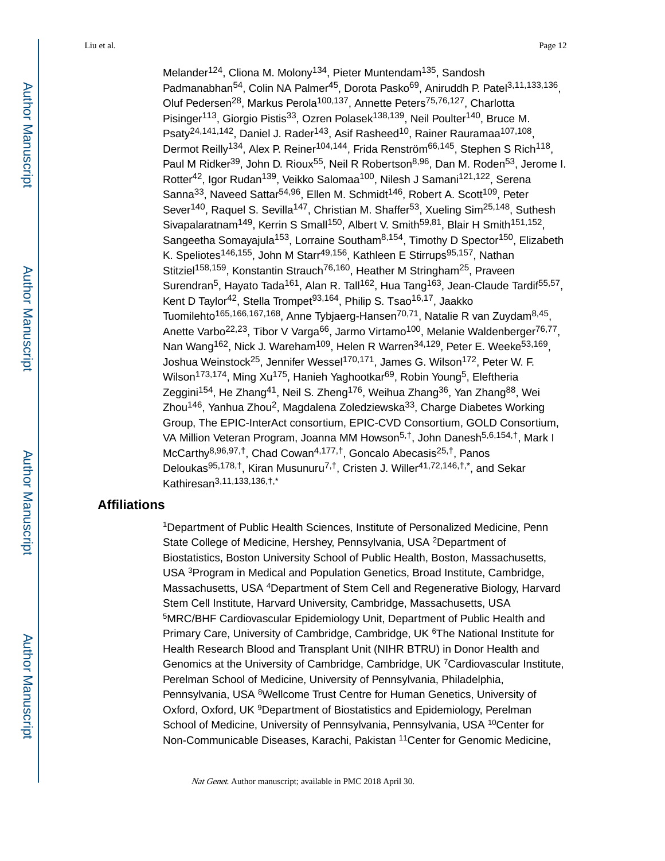Melander<sup>124</sup>, Cliona M. Molony<sup>134</sup>, Pieter Muntendam<sup>135</sup>, Sandosh Padmanabhan<sup>54</sup>, Colin NA Palmer<sup>45</sup>, Dorota Pasko<sup>69</sup>, Aniruddh P. Patel<sup>3,11,133,136</sup>, Oluf Pedersen<sup>28</sup>, Markus Perola<sup>100,137</sup>, Annette Peters<sup>75,76,127</sup>, Charlotta Pisinger<sup>113</sup>, Giorgio Pistis<sup>33</sup>, Ozren Polasek<sup>138,139</sup>, Neil Poulter<sup>140</sup>, Bruce M. Psaty<sup>24,141,142</sup>, Daniel J. Rader<sup>143</sup>, Asif Rasheed<sup>10</sup>, Rainer Rauramaa<sup>107,108</sup>, Dermot Reilly<sup>134</sup>, Alex P. Reiner<sup>104,144</sup>, Frida Renström<sup>66,145</sup>, Stephen S Rich<sup>118</sup>, Paul M Ridker<sup>39</sup>, John D. Rioux<sup>55</sup>, Neil R Robertson<sup>8,96</sup>, Dan M. Roden<sup>53</sup>, Jerome I. Rotter<sup>42</sup>, Igor Rudan<sup>139</sup>, Veikko Salomaa<sup>100</sup>, Nilesh J Samani<sup>121,122</sup>, Serena Sanna<sup>33</sup>, Naveed Sattar<sup>54,96</sup>, Ellen M. Schmidt<sup>146</sup>, Robert A. Scott<sup>109</sup>, Peter Sever<sup>140</sup>, Raquel S. Sevilla<sup>147</sup>, Christian M. Shaffer<sup>53</sup>, Xueling Sim<sup>25,148</sup>, Suthesh Sivapalaratnam<sup>149</sup>, Kerrin S Small<sup>150</sup>, Albert V. Smith<sup>59,81</sup>, Blair H Smith<sup>151,152</sup>, Sangeetha Somayajula<sup>153</sup>, Lorraine Southam<sup>8,154</sup>, Timothy D Spector<sup>150</sup>, Elizabeth K. Speliotes<sup>146,155</sup>, John M Starr<sup>49,156</sup>, Kathleen E Stirrups<sup>95,157</sup>, Nathan Stitziel<sup>158,159</sup>, Konstantin Strauch<sup>76,160</sup>, Heather M Stringham<sup>25</sup>, Praveen Surendran<sup>5</sup>, Hayato Tada<sup>161</sup>, Alan R. Tall<sup>162</sup>, Hua Tang<sup>163</sup>, Jean-Claude Tardif<sup>55,57</sup>, Kent D Taylor<sup>42</sup>, Stella Trompet<sup>93,164</sup>, Philip S, Tsao<sup>16,17</sup>, Jaakko Tuomilehto<sup>165,166,167,168</sup>, Anne Tybjaerg-Hansen<sup>70,71</sup>, Natalie R van Zuydam<sup>8,45</sup>, Anette Varbo<sup>22,23</sup>, Tibor V Varga<sup>66</sup>, Jarmo Virtamo<sup>100</sup>, Melanie Waldenberger<sup>76,77</sup>, Nan Wang<sup>162</sup>, Nick J. Wareham<sup>109</sup>, Helen R Warren<sup>34,129</sup>, Peter E. Weeke<sup>53,169</sup>, Joshua Weinstock<sup>25</sup>, Jennifer Wessel<sup>170,171</sup>, James G. Wilson<sup>172</sup>, Peter W. F. Wilson<sup>173,174</sup>, Ming Xu<sup>175</sup>, Hanieh Yaghootkar<sup>69</sup>, Robin Young<sup>5</sup>, Eleftheria Zeggini<sup>154</sup>, He Zhang<sup>41</sup>, Neil S. Zheng<sup>176</sup>, Weihua Zhang<sup>36</sup>, Yan Zhang<sup>88</sup>, Wei Zhou<sup>146</sup>, Yanhua Zhou<sup>2</sup>, Magdalena Zoledziewska<sup>33</sup>, Charge Diabetes Working Group, The EPIC-InterAct consortium, EPIC-CVD Consortium, GOLD Consortium, VA Million Veteran Program, Joanna MM Howson<sup>5,†</sup>, John Danesh<sup>5,6,154,†</sup>, Mark I McCarthy8,96,97,†, Chad Cowan4,177,†, Goncalo Abecasis25,†, Panos Deloukas<sup>95,178,†</sup>, Kiran Musunuru<sup>7,†</sup>, Cristen J. Willer<sup>41,72,146,†,\*,</sup> and Sekar Kathiresan3,11,133,136,†,\*

## **Affiliations**

<sup>1</sup>Department of Public Health Sciences, Institute of Personalized Medicine, Penn State College of Medicine, Hershey, Pennsylvania, USA <sup>2</sup>Department of Biostatistics, Boston University School of Public Health, Boston, Massachusetts, USA <sup>3</sup>Program in Medical and Population Genetics, Broad Institute, Cambridge, Massachusetts, USA <sup>4</sup>Department of Stem Cell and Regenerative Biology, Harvard Stem Cell Institute, Harvard University, Cambridge, Massachusetts, USA <sup>5</sup>MRC/BHF Cardiovascular Epidemiology Unit, Department of Public Health and Primary Care, University of Cambridge, Cambridge, UK <sup>6</sup>The National Institute for Health Research Blood and Transplant Unit (NIHR BTRU) in Donor Health and Genomics at the University of Cambridge, Cambridge, UK <sup>7</sup>Cardiovascular Institute, Perelman School of Medicine, University of Pennsylvania, Philadelphia, Pennsylvania, USA <sup>8</sup>Wellcome Trust Centre for Human Genetics, University of Oxford, Oxford, UK <sup>9</sup>Department of Biostatistics and Epidemiology, Perelman School of Medicine, University of Pennsylvania, Pennsylvania, USA <sup>10</sup>Center for Non-Communicable Diseases, Karachi, Pakistan <sup>11</sup>Center for Genomic Medicine,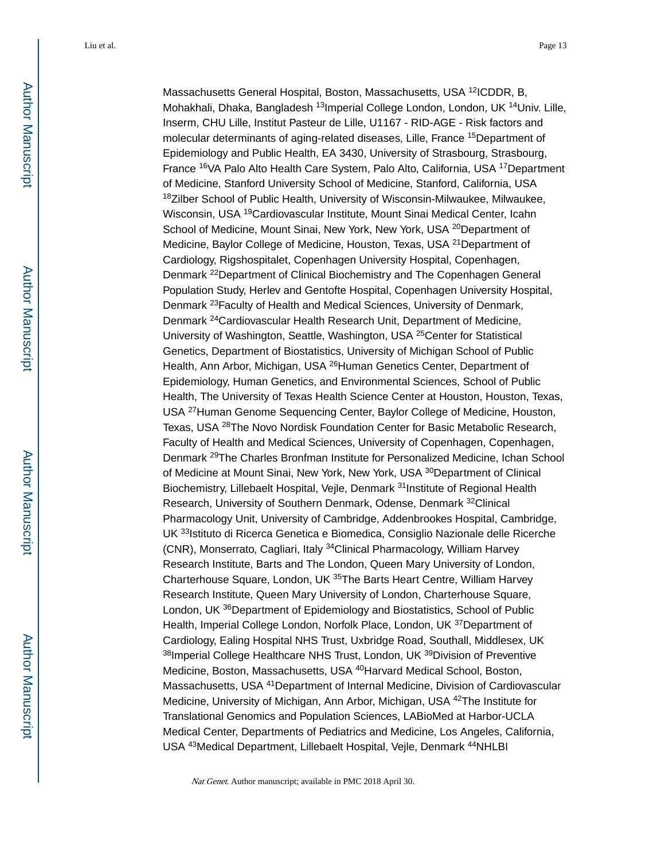Massachusetts General Hospital, Boston, Massachusetts, USA <sup>12</sup>ICDDR, B, Mohakhali, Dhaka, Bangladesh <sup>13</sup>Imperial College London, London, UK <sup>14</sup>Univ. Lille, Inserm, CHU Lille, Institut Pasteur de Lille, U1167 - RID-AGE - Risk factors and molecular determinants of aging-related diseases, Lille, France <sup>15</sup>Department of Epidemiology and Public Health, EA 3430, University of Strasbourg, Strasbourg, France <sup>16</sup>VA Palo Alto Health Care System, Palo Alto, California, USA <sup>17</sup>Department of Medicine, Stanford University School of Medicine, Stanford, California, USA <sup>18</sup>Zilber School of Public Health, University of Wisconsin-Milwaukee, Milwaukee, Wisconsin, USA <sup>19</sup>Cardiovascular Institute, Mount Sinai Medical Center, Icahn School of Medicine, Mount Sinai, New York, New York, USA <sup>20</sup>Department of Medicine, Baylor College of Medicine, Houston, Texas, USA <sup>21</sup>Department of Cardiology, Rigshospitalet, Copenhagen University Hospital, Copenhagen, Denmark <sup>22</sup>Department of Clinical Biochemistry and The Copenhagen General Population Study, Herlev and Gentofte Hospital, Copenhagen University Hospital, Denmark 23Faculty of Health and Medical Sciences, University of Denmark, Denmark <sup>24</sup>Cardiovascular Health Research Unit, Department of Medicine, University of Washington, Seattle, Washington, USA <sup>25</sup>Center for Statistical Genetics, Department of Biostatistics, University of Michigan School of Public Health, Ann Arbor, Michigan, USA <sup>26</sup>Human Genetics Center, Department of Epidemiology, Human Genetics, and Environmental Sciences, School of Public Health, The University of Texas Health Science Center at Houston, Houston, Texas, USA <sup>27</sup>Human Genome Sequencing Center, Baylor College of Medicine, Houston, Texas, USA <sup>28</sup>The Novo Nordisk Foundation Center for Basic Metabolic Research, Faculty of Health and Medical Sciences, University of Copenhagen, Copenhagen, Denmark <sup>29</sup>The Charles Bronfman Institute for Personalized Medicine, Ichan School of Medicine at Mount Sinai, New York, New York, USA <sup>30</sup>Department of Clinical Biochemistry, Lillebaelt Hospital, Vejle, Denmark <sup>31</sup>Institute of Regional Health Research, University of Southern Denmark, Odense, Denmark <sup>32</sup>Clinical Pharmacology Unit, University of Cambridge, Addenbrookes Hospital, Cambridge, UK <sup>33</sup>Istituto di Ricerca Genetica e Biomedica, Consiglio Nazionale delle Ricerche (CNR), Monserrato, Cagliari, Italy <sup>34</sup>Clinical Pharmacology, William Harvey Research Institute, Barts and The London, Queen Mary University of London, Charterhouse Square, London, UK 35The Barts Heart Centre, William Harvey Research Institute, Queen Mary University of London, Charterhouse Square, London, UK <sup>36</sup>Department of Epidemiology and Biostatistics, School of Public Health, Imperial College London, Norfolk Place, London, UK <sup>37</sup> Department of Cardiology, Ealing Hospital NHS Trust, Uxbridge Road, Southall, Middlesex, UK 38Imperial College Healthcare NHS Trust, London, UK 39 Division of Preventive Medicine, Boston, Massachusetts, USA <sup>40</sup>Harvard Medical School, Boston, Massachusetts, USA <sup>41</sup>Department of Internal Medicine, Division of Cardiovascular Medicine, University of Michigan, Ann Arbor, Michigan, USA <sup>42</sup>The Institute for Translational Genomics and Population Sciences, LABioMed at Harbor-UCLA Medical Center, Departments of Pediatrics and Medicine, Los Angeles, California, USA <sup>43</sup>Medical Department, Lillebaelt Hospital, Vejle, Denmark <sup>44</sup>NHLBI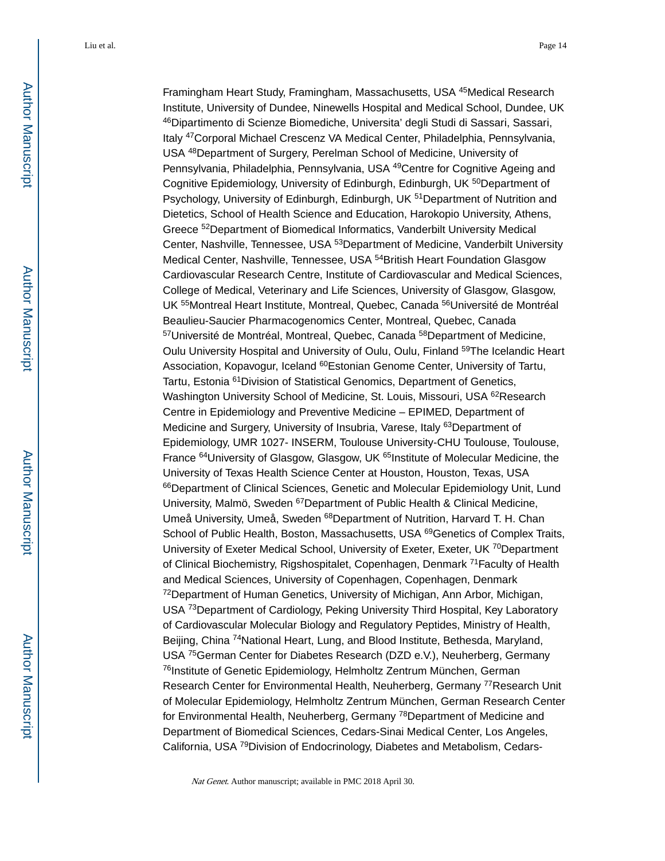Framingham Heart Study, Framingham, Massachusetts, USA <sup>45</sup>Medical Research Institute, University of Dundee, Ninewells Hospital and Medical School, Dundee, UK <sup>46</sup>Dipartimento di Scienze Biomediche, Universita' degli Studi di Sassari, Sassari, Italy <sup>47</sup>Corporal Michael Crescenz VA Medical Center, Philadelphia, Pennsylvania, USA <sup>48</sup>Department of Surgery, Perelman School of Medicine, University of Pennsylvania, Philadelphia, Pennsylvania, USA <sup>49</sup>Centre for Cognitive Ageing and Cognitive Epidemiology, University of Edinburgh, Edinburgh, UK <sup>50</sup>Department of Psychology, University of Edinburgh, Edinburgh, UK <sup>51</sup>Department of Nutrition and Dietetics, School of Health Science and Education, Harokopio University, Athens, Greece <sup>52</sup>Department of Biomedical Informatics, Vanderbilt University Medical Center, Nashville, Tennessee, USA <sup>53</sup>Department of Medicine, Vanderbilt University Medical Center, Nashville, Tennessee, USA <sup>54</sup>British Heart Foundation Glasgow Cardiovascular Research Centre, Institute of Cardiovascular and Medical Sciences, College of Medical, Veterinary and Life Sciences, University of Glasgow, Glasgow, UK 55Montreal Heart Institute, Montreal, Quebec, Canada 56Université de Montréal Beaulieu-Saucier Pharmacogenomics Center, Montreal, Quebec, Canada 57Université de Montréal, Montreal, Quebec, Canada <sup>58</sup>Department of Medicine, Oulu University Hospital and University of Oulu, Oulu, Finland <sup>59</sup>The Icelandic Heart Association, Kopavogur, Iceland <sup>60</sup>Estonian Genome Center, University of Tartu, Tartu, Estonia <sup>61</sup>Division of Statistical Genomics, Department of Genetics, Washington University School of Medicine, St. Louis, Missouri, USA <sup>62</sup>Research Centre in Epidemiology and Preventive Medicine – EPIMED, Department of Medicine and Surgery, University of Insubria, Varese, Italy <sup>63</sup>Department of Epidemiology, UMR 1027- INSERM, Toulouse University-CHU Toulouse, Toulouse, France <sup>64</sup>University of Glasgow, Glasgow, UK <sup>65</sup>Institute of Molecular Medicine, the University of Texas Health Science Center at Houston, Houston, Texas, USA 66Department of Clinical Sciences, Genetic and Molecular Epidemiology Unit, Lund University, Malmö, Sweden <sup>67</sup>Department of Public Health & Clinical Medicine, Umeå University, Umeå, Sweden <sup>68</sup>Department of Nutrition, Harvard T. H. Chan School of Public Health, Boston, Massachusetts, USA <sup>69</sup>Genetics of Complex Traits, University of Exeter Medical School, University of Exeter, Exeter, UK <sup>70</sup>Department of Clinical Biochemistry, Rigshospitalet, Copenhagen, Denmark <sup>71</sup>Faculty of Health and Medical Sciences, University of Copenhagen, Copenhagen, Denmark <sup>72</sup>Department of Human Genetics, University of Michigan, Ann Arbor, Michigan, USA <sup>73</sup>Department of Cardiology, Peking University Third Hospital, Key Laboratory of Cardiovascular Molecular Biology and Regulatory Peptides, Ministry of Health, Beijing, China <sup>74</sup>National Heart, Lung, and Blood Institute, Bethesda, Maryland, USA <sup>75</sup>German Center for Diabetes Research (DZD e.V.), Neuherberg, Germany <sup>76</sup>Institute of Genetic Epidemiology, Helmholtz Zentrum München, German Research Center for Environmental Health, Neuherberg, Germany <sup>77</sup>Research Unit of Molecular Epidemiology, Helmholtz Zentrum München, German Research Center for Environmental Health, Neuherberg, Germany <sup>78</sup>Department of Medicine and Department of Biomedical Sciences, Cedars-Sinai Medical Center, Los Angeles, California, USA 79Division of Endocrinology, Diabetes and Metabolism, Cedars-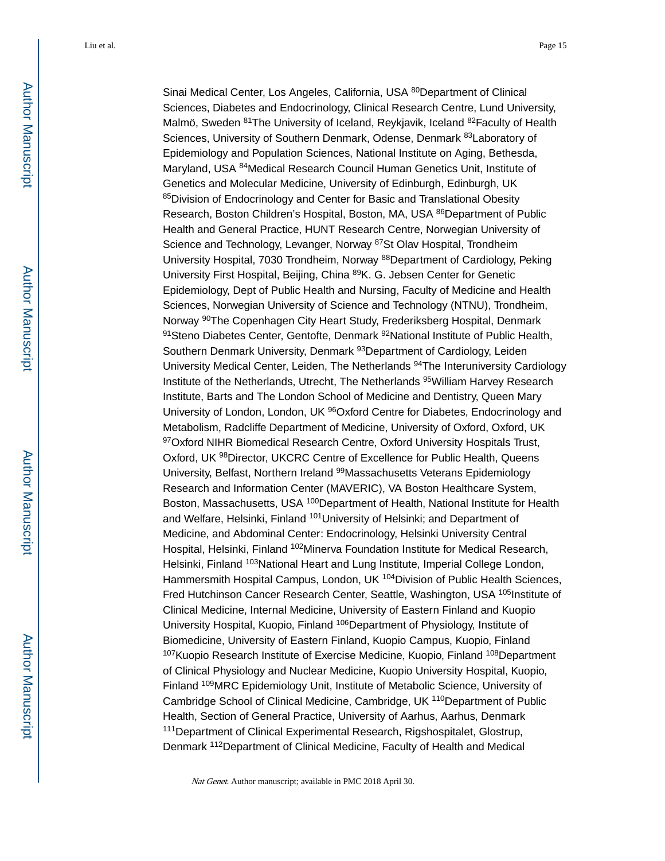Sinai Medical Center, Los Angeles, California, USA 80 Department of Clinical Sciences, Diabetes and Endocrinology, Clinical Research Centre, Lund University, Malmö, Sweden <sup>81</sup>The University of Iceland, Reykjavik, Iceland <sup>82</sup> Faculty of Health Sciences, University of Southern Denmark, Odense, Denmark <sup>83</sup>Laboratory of Epidemiology and Population Sciences, National Institute on Aging, Bethesda, Maryland, USA <sup>84</sup>Medical Research Council Human Genetics Unit, Institute of Genetics and Molecular Medicine, University of Edinburgh, Edinburgh, UK 85Division of Endocrinology and Center for Basic and Translational Obesity Research, Boston Children's Hospital, Boston, MA, USA <sup>86</sup>Department of Public Health and General Practice, HUNT Research Centre, Norwegian University of Science and Technology, Levanger, Norway <sup>87</sup>St Olav Hospital, Trondheim University Hospital, 7030 Trondheim, Norway <sup>88</sup>Department of Cardiology, Peking University First Hospital, Beijing, China <sup>89</sup>K. G. Jebsen Center for Genetic Epidemiology, Dept of Public Health and Nursing, Faculty of Medicine and Health Sciences, Norwegian University of Science and Technology (NTNU), Trondheim, Norway <sup>90</sup>The Copenhagen City Heart Study, Frederiksberg Hospital, Denmark 91Steno Diabetes Center, Gentofte, Denmark <sup>92</sup>National Institute of Public Health, Southern Denmark University, Denmark <sup>93</sup>Department of Cardiology, Leiden University Medical Center, Leiden, The Netherlands <sup>94</sup>The Interuniversity Cardiology Institute of the Netherlands, Utrecht, The Netherlands <sup>95</sup>William Harvey Research Institute, Barts and The London School of Medicine and Dentistry, Queen Mary University of London, London, UK <sup>96</sup>Oxford Centre for Diabetes, Endocrinology and Metabolism, Radcliffe Department of Medicine, University of Oxford, Oxford, UK 97Oxford NIHR Biomedical Research Centre, Oxford University Hospitals Trust, Oxford, UK <sup>98</sup>Director, UKCRC Centre of Excellence for Public Health, Queens University, Belfast, Northern Ireland <sup>99</sup>Massachusetts Veterans Epidemiology Research and Information Center (MAVERIC), VA Boston Healthcare System, Boston, Massachusetts, USA <sup>100</sup>Department of Health, National Institute for Health and Welfare, Helsinki, Finland <sup>101</sup>University of Helsinki; and Department of Medicine, and Abdominal Center: Endocrinology, Helsinki University Central Hospital, Helsinki, Finland <sup>102</sup>Minerva Foundation Institute for Medical Research, Helsinki, Finland <sup>103</sup>National Heart and Lung Institute, Imperial College London, Hammersmith Hospital Campus, London, UK<sup>104</sup>Division of Public Health Sciences, Fred Hutchinson Cancer Research Center, Seattle, Washington, USA <sup>105</sup>Institute of Clinical Medicine, Internal Medicine, University of Eastern Finland and Kuopio University Hospital, Kuopio, Finland <sup>106</sup>Department of Physiology, Institute of Biomedicine, University of Eastern Finland, Kuopio Campus, Kuopio, Finland <sup>107</sup>Kuopio Research Institute of Exercise Medicine, Kuopio, Finland <sup>108</sup>Department of Clinical Physiology and Nuclear Medicine, Kuopio University Hospital, Kuopio, Finland <sup>109</sup>MRC Epidemiology Unit, Institute of Metabolic Science, University of Cambridge School of Clinical Medicine, Cambridge, UK <sup>110</sup>Department of Public Health, Section of General Practice, University of Aarhus, Aarhus, Denmark <sup>111</sup>Department of Clinical Experimental Research, Rigshospitalet, Glostrup, Denmark <sup>112</sup>Department of Clinical Medicine, Faculty of Health and Medical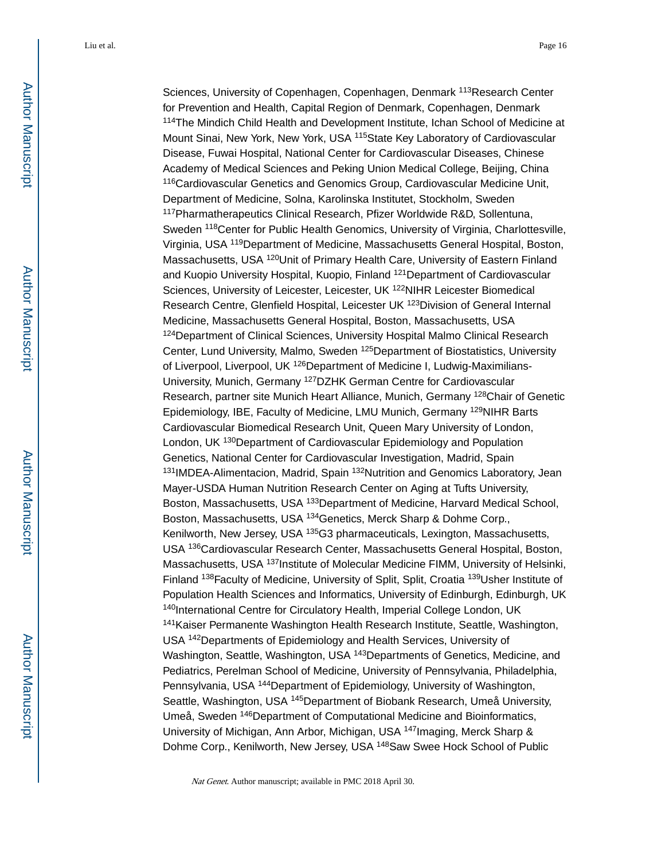Sciences, University of Copenhagen, Copenhagen, Denmark <sup>113</sup>Research Center for Prevention and Health, Capital Region of Denmark, Copenhagen, Denmark <sup>114</sup>The Mindich Child Health and Development Institute, Ichan School of Medicine at Mount Sinai, New York, New York, USA <sup>115</sup>State Key Laboratory of Cardiovascular Disease, Fuwai Hospital, National Center for Cardiovascular Diseases, Chinese Academy of Medical Sciences and Peking Union Medical College, Beijing, China <sup>116</sup>Cardiovascular Genetics and Genomics Group, Cardiovascular Medicine Unit, Department of Medicine, Solna, Karolinska Institutet, Stockholm, Sweden <sup>117</sup>Pharmatherapeutics Clinical Research, Pfizer Worldwide R&D, Sollentuna, Sweden <sup>118</sup>Center for Public Health Genomics, University of Virginia, Charlottesville, Virginia, USA <sup>119</sup>Department of Medicine, Massachusetts General Hospital, Boston, Massachusetts, USA <sup>120</sup>Unit of Primary Health Care, University of Eastern Finland and Kuopio University Hospital, Kuopio, Finland <sup>121</sup>Department of Cardiovascular Sciences, University of Leicester, Leicester, UK <sup>122</sup>NIHR Leicester Biomedical Research Centre, Glenfield Hospital, Leicester UK 123Division of General Internal Medicine, Massachusetts General Hospital, Boston, Massachusetts, USA 124Department of Clinical Sciences, University Hospital Malmo Clinical Research Center, Lund University, Malmo, Sweden <sup>125</sup>Department of Biostatistics, University of Liverpool, Liverpool, UK <sup>126</sup>Department of Medicine I, Ludwig-Maximilians-University, Munich, Germany <sup>127</sup>DZHK German Centre for Cardiovascular Research, partner site Munich Heart Alliance, Munich, Germany <sup>128</sup>Chair of Genetic Epidemiology, IBE, Faculty of Medicine, LMU Munich, Germany <sup>129</sup>NIHR Barts Cardiovascular Biomedical Research Unit, Queen Mary University of London, London, UK <sup>130</sup>Department of Cardiovascular Epidemiology and Population Genetics, National Center for Cardiovascular Investigation, Madrid, Spain 131 IMDEA-Alimentacion, Madrid, Spain 132 Nutrition and Genomics Laboratory, Jean Mayer-USDA Human Nutrition Research Center on Aging at Tufts University, Boston, Massachusetts, USA <sup>133</sup>Department of Medicine, Harvard Medical School, Boston, Massachusetts, USA <sup>134</sup>Genetics, Merck Sharp & Dohme Corp., Kenilworth, New Jersey, USA <sup>135</sup>G3 pharmaceuticals, Lexington, Massachusetts, USA <sup>136</sup>Cardiovascular Research Center, Massachusetts General Hospital, Boston, Massachusetts, USA <sup>137</sup>Institute of Molecular Medicine FIMM, University of Helsinki, Finland <sup>138</sup> Faculty of Medicine, University of Split, Split, Croatia <sup>139</sup> Usher Institute of Population Health Sciences and Informatics, University of Edinburgh, Edinburgh, UK 140International Centre for Circulatory Health, Imperial College London, UK <sup>141</sup>Kaiser Permanente Washington Health Research Institute, Seattle, Washington, USA <sup>142</sup>Departments of Epidemiology and Health Services, University of Washington, Seattle, Washington, USA <sup>143</sup>Departments of Genetics, Medicine, and Pediatrics, Perelman School of Medicine, University of Pennsylvania, Philadelphia, Pennsylvania, USA <sup>144</sup>Department of Epidemiology, University of Washington, Seattle, Washington, USA <sup>145</sup>Department of Biobank Research, Umeå University, Umeå, Sweden <sup>146</sup>Department of Computational Medicine and Bioinformatics, University of Michigan, Ann Arbor, Michigan, USA <sup>147</sup>Imaging, Merck Sharp & Dohme Corp., Kenilworth, New Jersey, USA <sup>148</sup>Saw Swee Hock School of Public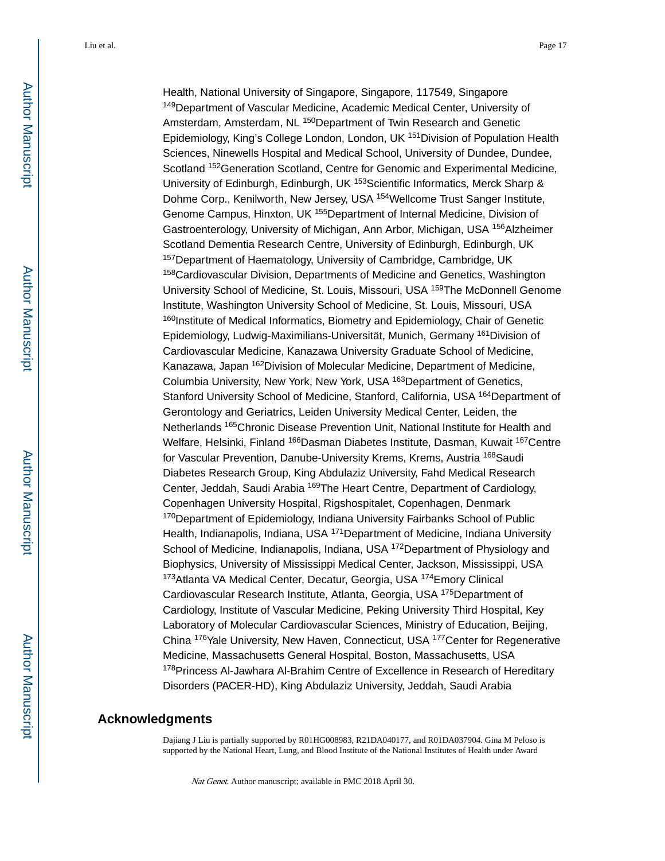Health, National University of Singapore, Singapore, 117549, Singapore <sup>149</sup>Department of Vascular Medicine, Academic Medical Center, University of Amsterdam, Amsterdam, NL<sup>150</sup>Department of Twin Research and Genetic Epidemiology, King's College London, London, UK <sup>151</sup>Division of Population Health Sciences, Ninewells Hospital and Medical School, University of Dundee, Dundee, Scotland <sup>152</sup>Generation Scotland, Centre for Genomic and Experimental Medicine, University of Edinburgh, Edinburgh, UK <sup>153</sup>Scientific Informatics, Merck Sharp & Dohme Corp., Kenilworth, New Jersey, USA <sup>154</sup>Wellcome Trust Sanger Institute, Genome Campus, Hinxton, UK <sup>155</sup>Department of Internal Medicine, Division of Gastroenterology, University of Michigan, Ann Arbor, Michigan, USA <sup>156</sup>Alzheimer Scotland Dementia Research Centre, University of Edinburgh, Edinburgh, UK <sup>157</sup>Department of Haematology, University of Cambridge, Cambridge, UK <sup>158</sup>Cardiovascular Division, Departments of Medicine and Genetics, Washington University School of Medicine, St. Louis, Missouri, USA <sup>159</sup>The McDonnell Genome Institute, Washington University School of Medicine, St. Louis, Missouri, USA <sup>160</sup>Institute of Medical Informatics, Biometry and Epidemiology, Chair of Genetic Epidemiology, Ludwig-Maximilians-Universität, Munich, Germany <sup>161</sup>Division of Cardiovascular Medicine, Kanazawa University Graduate School of Medicine, Kanazawa, Japan <sup>162</sup>Division of Molecular Medicine, Department of Medicine, Columbia University, New York, New York, USA <sup>163</sup>Department of Genetics, Stanford University School of Medicine, Stanford, California, USA <sup>164</sup>Department of Gerontology and Geriatrics, Leiden University Medical Center, Leiden, the Netherlands <sup>165</sup>Chronic Disease Prevention Unit, National Institute for Health and Welfare, Helsinki, Finland <sup>166</sup>Dasman Diabetes Institute, Dasman, Kuwait <sup>167</sup>Centre for Vascular Prevention, Danube-University Krems, Krems, Austria <sup>168</sup>Saudi Diabetes Research Group, King Abdulaziz University, Fahd Medical Research Center, Jeddah, Saudi Arabia <sup>169</sup>The Heart Centre, Department of Cardiology, Copenhagen University Hospital, Rigshospitalet, Copenhagen, Denmark <sup>170</sup>Department of Epidemiology, Indiana University Fairbanks School of Public Health, Indianapolis, Indiana, USA <sup>171</sup>Department of Medicine, Indiana University School of Medicine, Indianapolis, Indiana, USA <sup>172</sup>Department of Physiology and Biophysics, University of Mississippi Medical Center, Jackson, Mississippi, USA <sup>173</sup>Atlanta VA Medical Center, Decatur, Georgia, USA 174Emory Clinical Cardiovascular Research Institute, Atlanta, Georgia, USA <sup>175</sup>Department of Cardiology, Institute of Vascular Medicine, Peking University Third Hospital, Key Laboratory of Molecular Cardiovascular Sciences, Ministry of Education, Beijing, China <sup>176</sup>Yale University, New Haven, Connecticut, USA <sup>177</sup>Center for Regenerative Medicine, Massachusetts General Hospital, Boston, Massachusetts, USA <sup>178</sup>Princess Al-Jawhara Al-Brahim Centre of Excellence in Research of Hereditary Disorders (PACER-HD), King Abdulaziz University, Jeddah, Saudi Arabia

## **Acknowledgments**

Dajiang J Liu is partially supported by R01HG008983, R21DA040177, and R01DA037904. Gina M Peloso is supported by the National Heart, Lung, and Blood Institute of the National Institutes of Health under Award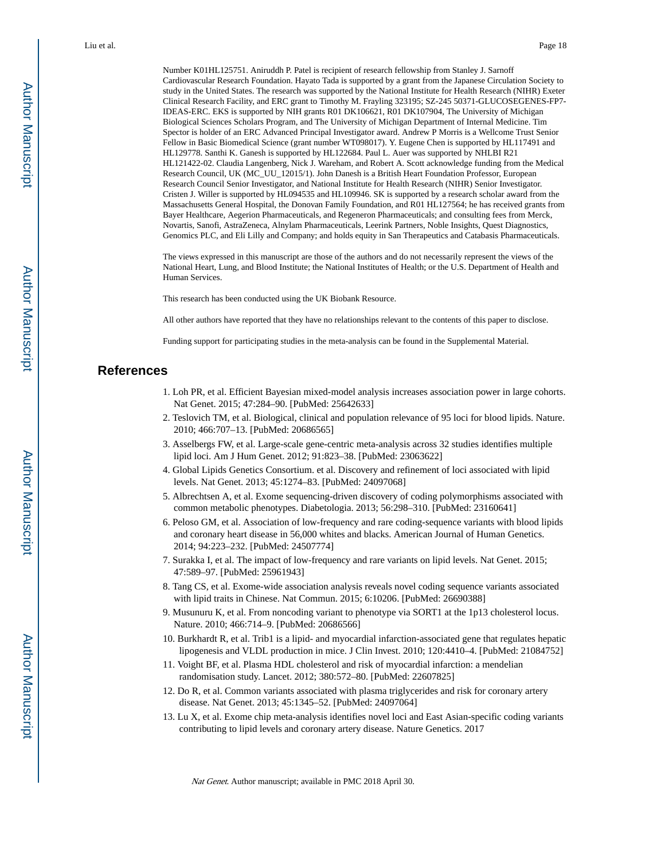Number K01HL125751. Aniruddh P. Patel is recipient of research fellowship from Stanley J. Sarnoff Cardiovascular Research Foundation. Hayato Tada is supported by a grant from the Japanese Circulation Society to study in the United States. The research was supported by the National Institute for Health Research (NIHR) Exeter Clinical Research Facility, and ERC grant to Timothy M. Frayling 323195; SZ-245 50371-GLUCOSEGENES-FP7- IDEAS-ERC. EKS is supported by NIH grants R01 DK106621, R01 DK107904, The University of Michigan Biological Sciences Scholars Program, and The University of Michigan Department of Internal Medicine. Tim Spector is holder of an ERC Advanced Principal Investigator award. Andrew P Morris is a Wellcome Trust Senior Fellow in Basic Biomedical Science (grant number WT098017). Y. Eugene Chen is supported by HL117491 and HL129778. Santhi K. Ganesh is supported by HL122684. Paul L. Auer was supported by NHLBI R21 HL121422-02. Claudia Langenberg, Nick J. Wareham, and Robert A. Scott acknowledge funding from the Medical Research Council, UK (MC\_UU\_12015/1). John Danesh is a British Heart Foundation Professor, European Research Council Senior Investigator, and National Institute for Health Research (NIHR) Senior Investigator. Cristen J. Willer is supported by HL094535 and HL109946. SK is supported by a research scholar award from the Massachusetts General Hospital, the Donovan Family Foundation, and R01 HL127564; he has received grants from Bayer Healthcare, Aegerion Pharmaceuticals, and Regeneron Pharmaceuticals; and consulting fees from Merck, Novartis, Sanofi, AstraZeneca, Alnylam Pharmaceuticals, Leerink Partners, Noble Insights, Quest Diagnostics, Genomics PLC, and Eli Lilly and Company; and holds equity in San Therapeutics and Catabasis Pharmaceuticals.

The views expressed in this manuscript are those of the authors and do not necessarily represent the views of the National Heart, Lung, and Blood Institute; the National Institutes of Health; or the U.S. Department of Health and Human Services.

This research has been conducted using the UK Biobank Resource.

All other authors have reported that they have no relationships relevant to the contents of this paper to disclose.

Funding support for participating studies in the meta-analysis can be found in the Supplemental Material.

## **References**

- 1. Loh PR, et al. Efficient Bayesian mixed-model analysis increases association power in large cohorts. Nat Genet. 2015; 47:284–90. [PubMed: 25642633]
- 2. Teslovich TM, et al. Biological, clinical and population relevance of 95 loci for blood lipids. Nature. 2010; 466:707–13. [PubMed: 20686565]
- 3. Asselbergs FW, et al. Large-scale gene-centric meta-analysis across 32 studies identifies multiple lipid loci. Am J Hum Genet. 2012; 91:823–38. [PubMed: 23063622]
- 4. Global Lipids Genetics Consortium. et al. Discovery and refinement of loci associated with lipid levels. Nat Genet. 2013; 45:1274–83. [PubMed: 24097068]
- 5. Albrechtsen A, et al. Exome sequencing-driven discovery of coding polymorphisms associated with common metabolic phenotypes. Diabetologia. 2013; 56:298–310. [PubMed: 23160641]
- 6. Peloso GM, et al. Association of low-frequency and rare coding-sequence variants with blood lipids and coronary heart disease in 56,000 whites and blacks. American Journal of Human Genetics. 2014; 94:223–232. [PubMed: 24507774]
- 7. Surakka I, et al. The impact of low-frequency and rare variants on lipid levels. Nat Genet. 2015; 47:589–97. [PubMed: 25961943]
- 8. Tang CS, et al. Exome-wide association analysis reveals novel coding sequence variants associated with lipid traits in Chinese. Nat Commun. 2015; 6:10206. [PubMed: 26690388]
- 9. Musunuru K, et al. From noncoding variant to phenotype via SORT1 at the 1p13 cholesterol locus. Nature. 2010; 466:714–9. [PubMed: 20686566]
- 10. Burkhardt R, et al. Trib1 is a lipid- and myocardial infarction-associated gene that regulates hepatic lipogenesis and VLDL production in mice. J Clin Invest. 2010; 120:4410–4. [PubMed: 21084752]
- 11. Voight BF, et al. Plasma HDL cholesterol and risk of myocardial infarction: a mendelian randomisation study. Lancet. 2012; 380:572–80. [PubMed: 22607825]
- 12. Do R, et al. Common variants associated with plasma triglycerides and risk for coronary artery disease. Nat Genet. 2013; 45:1345–52. [PubMed: 24097064]
- 13. Lu X, et al. Exome chip meta-analysis identifies novel loci and East Asian-specific coding variants contributing to lipid levels and coronary artery disease. Nature Genetics. 2017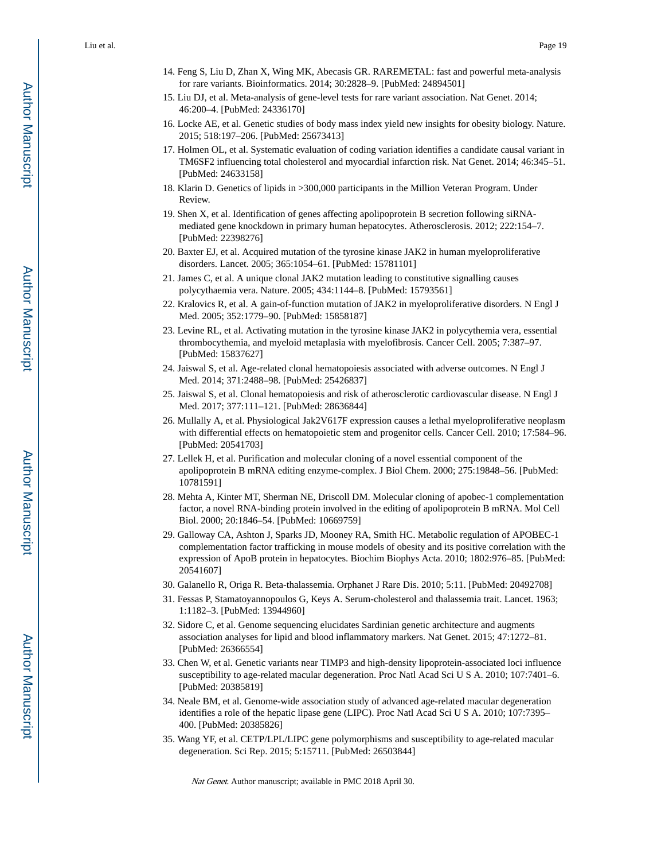- 14. Feng S, Liu D, Zhan X, Wing MK, Abecasis GR. RAREMETAL: fast and powerful meta-analysis for rare variants. Bioinformatics. 2014; 30:2828–9. [PubMed: 24894501]
- 15. Liu DJ, et al. Meta-analysis of gene-level tests for rare variant association. Nat Genet. 2014; 46:200–4. [PubMed: 24336170]
- 16. Locke AE, et al. Genetic studies of body mass index yield new insights for obesity biology. Nature. 2015; 518:197–206. [PubMed: 25673413]
- 17. Holmen OL, et al. Systematic evaluation of coding variation identifies a candidate causal variant in TM6SF2 influencing total cholesterol and myocardial infarction risk. Nat Genet. 2014; 46:345–51. [PubMed: 24633158]
- 18. Klarin D. Genetics of lipids in >300,000 participants in the Million Veteran Program. Under Review.
- 19. Shen X, et al. Identification of genes affecting apolipoprotein B secretion following siRNAmediated gene knockdown in primary human hepatocytes. Atherosclerosis. 2012; 222:154–7. [PubMed: 22398276]
- 20. Baxter EJ, et al. Acquired mutation of the tyrosine kinase JAK2 in human myeloproliferative disorders. Lancet. 2005; 365:1054–61. [PubMed: 15781101]
- 21. James C, et al. A unique clonal JAK2 mutation leading to constitutive signalling causes polycythaemia vera. Nature. 2005; 434:1144–8. [PubMed: 15793561]
- 22. Kralovics R, et al. A gain-of-function mutation of JAK2 in myeloproliferative disorders. N Engl J Med. 2005; 352:1779–90. [PubMed: 15858187]
- 23. Levine RL, et al. Activating mutation in the tyrosine kinase JAK2 in polycythemia vera, essential thrombocythemia, and myeloid metaplasia with myelofibrosis. Cancer Cell. 2005; 7:387–97. [PubMed: 15837627]
- 24. Jaiswal S, et al. Age-related clonal hematopoiesis associated with adverse outcomes. N Engl J Med. 2014; 371:2488–98. [PubMed: 25426837]
- 25. Jaiswal S, et al. Clonal hematopoiesis and risk of atherosclerotic cardiovascular disease. N Engl J Med. 2017; 377:111–121. [PubMed: 28636844]
- 26. Mullally A, et al. Physiological Jak2V617F expression causes a lethal myeloproliferative neoplasm with differential effects on hematopoietic stem and progenitor cells. Cancer Cell. 2010; 17:584–96. [PubMed: 20541703]
- 27. Lellek H, et al. Purification and molecular cloning of a novel essential component of the apolipoprotein B mRNA editing enzyme-complex. J Biol Chem. 2000; 275:19848–56. [PubMed: 10781591]
- 28. Mehta A, Kinter MT, Sherman NE, Driscoll DM. Molecular cloning of apobec-1 complementation factor, a novel RNA-binding protein involved in the editing of apolipoprotein B mRNA. Mol Cell Biol. 2000; 20:1846–54. [PubMed: 10669759]
- 29. Galloway CA, Ashton J, Sparks JD, Mooney RA, Smith HC. Metabolic regulation of APOBEC-1 complementation factor trafficking in mouse models of obesity and its positive correlation with the expression of ApoB protein in hepatocytes. Biochim Biophys Acta. 2010; 1802:976–85. [PubMed: 20541607]
- 30. Galanello R, Origa R. Beta-thalassemia. Orphanet J Rare Dis. 2010; 5:11. [PubMed: 20492708]
- 31. Fessas P, Stamatoyannopoulos G, Keys A. Serum-cholesterol and thalassemia trait. Lancet. 1963; 1:1182–3. [PubMed: 13944960]
- 32. Sidore C, et al. Genome sequencing elucidates Sardinian genetic architecture and augments association analyses for lipid and blood inflammatory markers. Nat Genet. 2015; 47:1272–81. [PubMed: 26366554]
- 33. Chen W, et al. Genetic variants near TIMP3 and high-density lipoprotein-associated loci influence susceptibility to age-related macular degeneration. Proc Natl Acad Sci U S A. 2010; 107:7401–6. [PubMed: 20385819]
- 34. Neale BM, et al. Genome-wide association study of advanced age-related macular degeneration identifies a role of the hepatic lipase gene (LIPC). Proc Natl Acad Sci U S A. 2010; 107:7395– 400. [PubMed: 20385826]
- 35. Wang YF, et al. CETP/LPL/LIPC gene polymorphisms and susceptibility to age-related macular degeneration. Sci Rep. 2015; 5:15711. [PubMed: 26503844]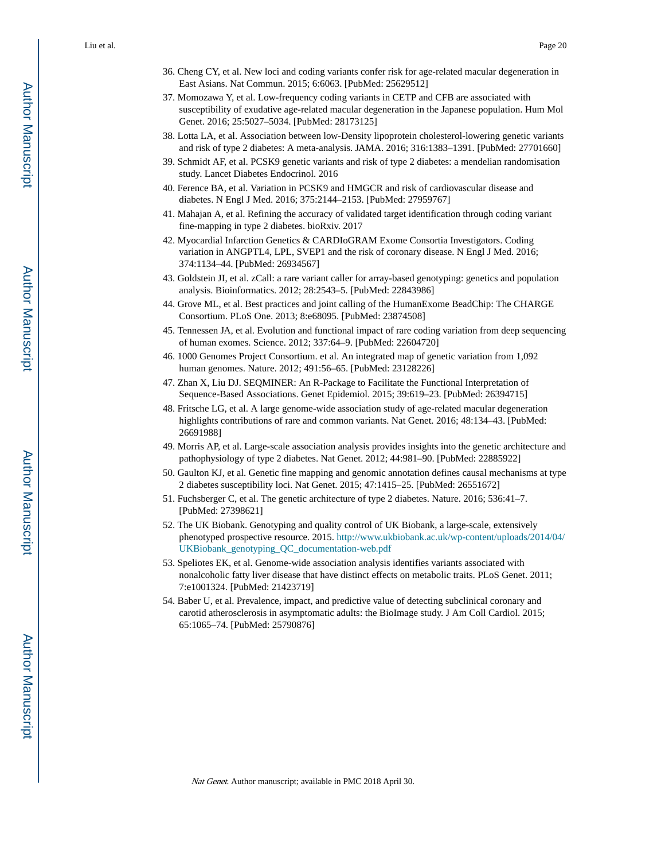- 36. Cheng CY, et al. New loci and coding variants confer risk for age-related macular degeneration in East Asians. Nat Commun. 2015; 6:6063. [PubMed: 25629512]
- 37. Momozawa Y, et al. Low-frequency coding variants in CETP and CFB are associated with susceptibility of exudative age-related macular degeneration in the Japanese population. Hum Mol Genet. 2016; 25:5027–5034. [PubMed: 28173125]
- 38. Lotta LA, et al. Association between low-Density lipoprotein cholesterol-lowering genetic variants and risk of type 2 diabetes: A meta-analysis. JAMA. 2016; 316:1383–1391. [PubMed: 27701660]
- 39. Schmidt AF, et al. PCSK9 genetic variants and risk of type 2 diabetes: a mendelian randomisation study. Lancet Diabetes Endocrinol. 2016
- 40. Ference BA, et al. Variation in PCSK9 and HMGCR and risk of cardiovascular disease and diabetes. N Engl J Med. 2016; 375:2144–2153. [PubMed: 27959767]
- 41. Mahajan A, et al. Refining the accuracy of validated target identification through coding variant fine-mapping in type 2 diabetes. bioRxiv. 2017
- 42. Myocardial Infarction Genetics & CARDIoGRAM Exome Consortia Investigators. Coding variation in ANGPTL4, LPL, SVEP1 and the risk of coronary disease. N Engl J Med. 2016; 374:1134–44. [PubMed: 26934567]
- 43. Goldstein JI, et al. zCall: a rare variant caller for array-based genotyping: genetics and population analysis. Bioinformatics. 2012; 28:2543–5. [PubMed: 22843986]
- 44. Grove ML, et al. Best practices and joint calling of the HumanExome BeadChip: The CHARGE Consortium. PLoS One. 2013; 8:e68095. [PubMed: 23874508]
- 45. Tennessen JA, et al. Evolution and functional impact of rare coding variation from deep sequencing of human exomes. Science. 2012; 337:64–9. [PubMed: 22604720]
- 46. 1000 Genomes Project Consortium. et al. An integrated map of genetic variation from 1,092 human genomes. Nature. 2012; 491:56–65. [PubMed: 23128226]
- 47. Zhan X, Liu DJ. SEQMINER: An R-Package to Facilitate the Functional Interpretation of Sequence-Based Associations. Genet Epidemiol. 2015; 39:619–23. [PubMed: 26394715]
- 48. Fritsche LG, et al. A large genome-wide association study of age-related macular degeneration highlights contributions of rare and common variants. Nat Genet. 2016; 48:134–43. [PubMed: 26691988]
- 49. Morris AP, et al. Large-scale association analysis provides insights into the genetic architecture and pathophysiology of type 2 diabetes. Nat Genet. 2012; 44:981–90. [PubMed: 22885922]
- 50. Gaulton KJ, et al. Genetic fine mapping and genomic annotation defines causal mechanisms at type 2 diabetes susceptibility loci. Nat Genet. 2015; 47:1415–25. [PubMed: 26551672]
- 51. Fuchsberger C, et al. The genetic architecture of type 2 diabetes. Nature. 2016; 536:41–7. [PubMed: 27398621]
- 52. The UK Biobank. Genotyping and quality control of UK Biobank, a large-scale, extensively phenotyped prospective resource. 2015. [http://www.ukbiobank.ac.uk/wp-content/uploads/2014/04/](http://www.ukbiobank.ac.uk/wp-content/uploads/2014/04/UKBiobank_genotyping_QC_documentation-web.pdf) [UKBiobank\\_genotyping\\_QC\\_documentation-web.pdf](http://www.ukbiobank.ac.uk/wp-content/uploads/2014/04/UKBiobank_genotyping_QC_documentation-web.pdf)
- 53. Speliotes EK, et al. Genome-wide association analysis identifies variants associated with nonalcoholic fatty liver disease that have distinct effects on metabolic traits. PLoS Genet. 2011; 7:e1001324. [PubMed: 21423719]
- 54. Baber U, et al. Prevalence, impact, and predictive value of detecting subclinical coronary and carotid atherosclerosis in asymptomatic adults: the BioImage study. J Am Coll Cardiol. 2015; 65:1065–74. [PubMed: 25790876]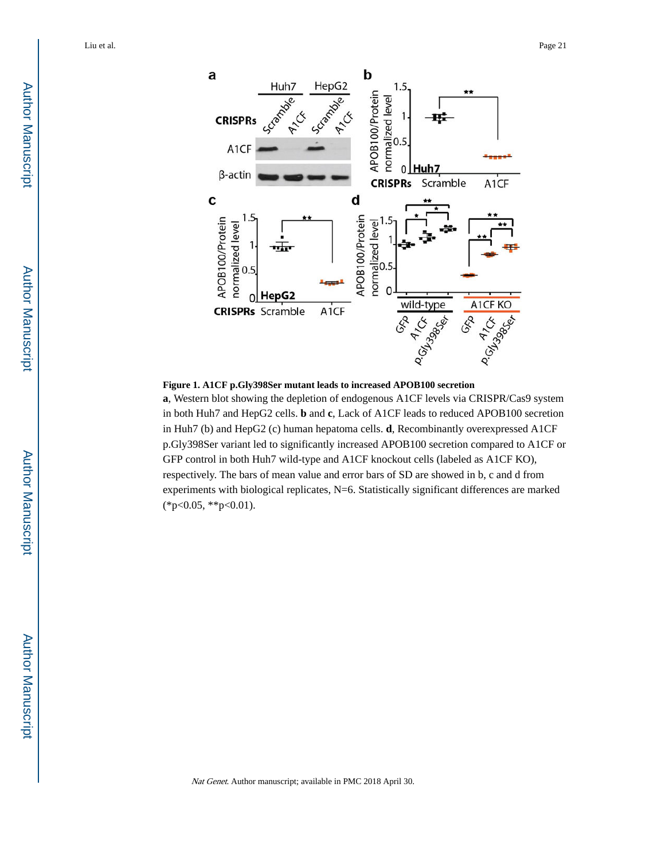



**a**, Western blot showing the depletion of endogenous A1CF levels via CRISPR/Cas9 system in both Huh7 and HepG2 cells. **b** and **c**, Lack of A1CF leads to reduced APOB100 secretion in Huh7 (b) and HepG2 (c) human hepatoma cells. **d**, Recombinantly overexpressed A1CF p.Gly398Ser variant led to significantly increased APOB100 secretion compared to A1CF or GFP control in both Huh7 wild-type and A1CF knockout cells (labeled as A1CF KO), respectively. The bars of mean value and error bars of SD are showed in b, c and d from experiments with biological replicates, N=6. Statistically significant differences are marked (\*p<0.05, \*\*p<0.01).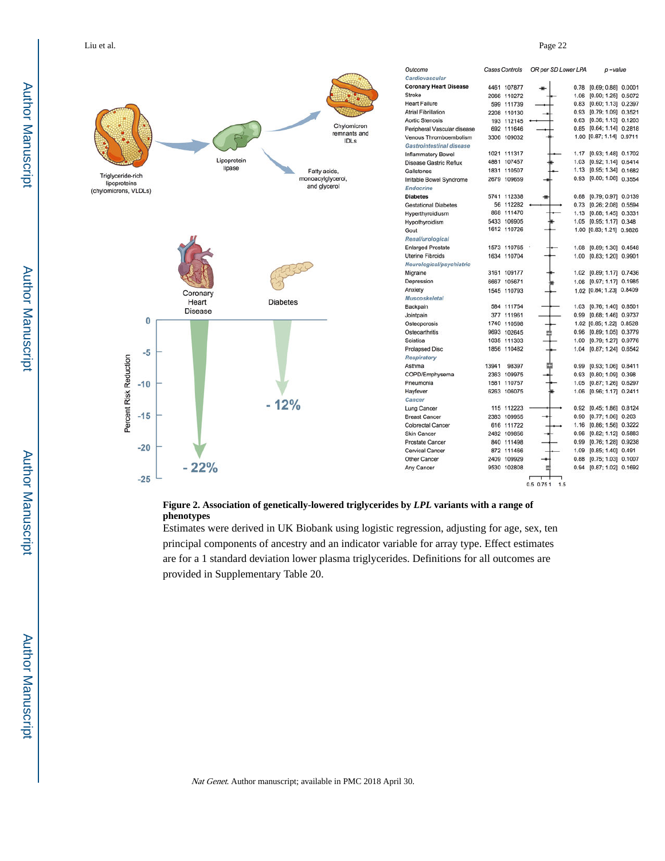

**Figure 2. Association of genetically-lowered triglycerides by** *LPL* **variants with a range of phenotypes**

Estimates were derived in UK Biobank using logistic regression, adjusting for age, sex, ten principal components of ancestry and an indicator variable for array type. Effect estimates are for a 1 standard deviation lower plasma triglycerides. Definitions for all outcomes are provided in Supplementary Table 20.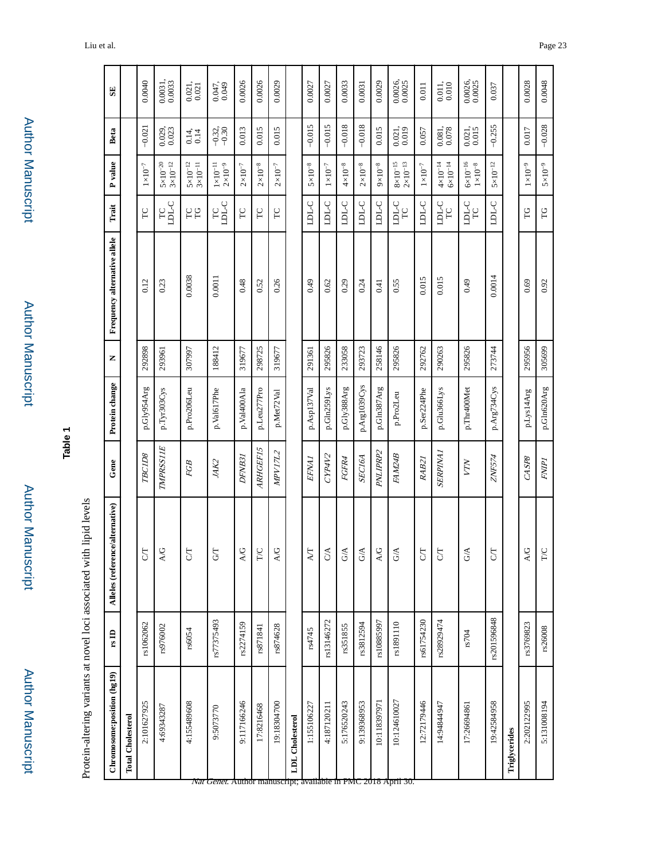| ï |
|---|
|   |
|   |
|   |
|   |
|   |
|   |
|   |
|   |
|   |
|   |
|   |
|   |
|   |
|   |

**Table 1**

Protein-altering variants at novel loci associated with lipid levels Protein-altering variants at novel loci associated with lipid levels

| Chromosome: position (hg19)                                                       | rsD         | Alleles (reference/alternative) | Gene             | Protein change | Z      | Frequency alternative allele | Trait                   | P value                                  | Beta                                           | $\mathbf{S}$                                     |
|-----------------------------------------------------------------------------------|-------------|---------------------------------|------------------|----------------|--------|------------------------------|-------------------------|------------------------------------------|------------------------------------------------|--------------------------------------------------|
| <b>Total Cholesterol</b>                                                          |             |                                 |                  |                |        |                              |                         |                                          |                                                |                                                  |
| 2:101627925                                                                       | rs1062062   | <b>S</b>                        | TBC1D8           | p.Gly954Arg    | 292898 | 0.12                         | FC                      | $1{\times}10^{-7}$                       | $-0.021$                                       | 0.0040                                           |
| 4:69343287                                                                        | rs976002    | $\Delta\!/\!G$                  | <b>TMPRSS11E</b> | p.Tyr303Cys    | 293961 | 0.23                         | rc<br>DLC               | $3{\times}10^{-12}$<br>$5\times10^{-20}$ | 0.029, 0.023                                   | $\begin{array}{c} 0.0031, \\ 0.0033 \end{array}$ |
| 4:155489608                                                                       | rs6054      | 5                               | FGB              | p.Pro206Leu    | 307997 | 0.0038                       | <b>PD</b>               | $3{\times}10^{-11}$<br>$5\times10^{-12}$ | $0.14$ , 0.14                                  | $\frac{0.021}{0.021}$                            |
| 9:5073770<br><i>Nat Genet.</i> Author manuscript; available in PMC 2018 April 30. | rs77375493  | $G\Gamma$                       | JAK2             | p.Val617Phe    | 188412 | 0.0011                       | TC<br>LDL-C             | $1{\times}10^{-11}$<br>$2\times10^{-9}$  | $-0.32$ , $-0.30$                              | 0.047,                                           |
| 9:117166246                                                                       | rs2274159   | Ò,<br>≺                         | DFNB31           | p.Val400Ala    | 319677 | 0.48                         | FC                      | $2\times10^{-7}$                         | 0.013                                          | 0.0026                                           |
| 17:8216468                                                                        | rs871841    | $\breve{\mathsf{Q}}$<br>Н       | <b>ARHGEF15</b>  | p.Leu277Pro    | 298725 | 0.52                         | $\Gamma$                | $2\times10^{-8}$                         | 0.015                                          | 0.0026                                           |
| 19:18304700                                                                       | rs874628    | $\Delta\!/\!G$                  | MPV17L2          | p.Met72Val     | 319677 | 0.26                         | <b>PC</b>               | $2{\times}10^{-7}$                       | 0.015                                          | 0.0029                                           |
| <b>LDL</b> Cholesterol                                                            |             |                                 |                  |                |        |                              |                         |                                          |                                                |                                                  |
| 1:155106227                                                                       | rs4745      | $\lambda T$                     | <b>EFNAI</b>     | p.Asp137Val    | 291361 | 0.49                         | <b>CTCT</b>             | $5\times10^{-8}$                         | $-0.015$                                       | 0.0027                                           |
| 4:187120211                                                                       | rs13146272  | $\mathbb{C}\mathbb{A}$          | CYP4V2           | p.Gln259Lys    | 295826 | 0.62                         | <b>CTCT</b>             | $1{\times}10^{-7}$                       | $-0.015$                                       | 0.0027                                           |
| 5:176520243                                                                       | rs351855    | $\mathbb{G}\mathbb{A}$          | FGFR4            | p.Gly388Arg    | 233058 | 0.29                         | <b>CTCT</b>             | $4\times10^{-8}$                         | $-0.018$                                       | 0.0033                                           |
| 9:139368953                                                                       | rs3812594   | $\breve{\mathbf{z}}$<br>Ü       | <b>SECI6A</b>    | p.Arg1039Cys   | 293723 | 0.24                         | <b>CTCT</b>             | $2\times10^{-8}$                         | $-0.018$                                       | 0.0031                                           |
| 10:118397971                                                                      | rs10885997  | $\lambda/\text{G}$              | PNLIPRP2         | p.Gln387Arg    | 258146 | 0.41                         | <b>CTCT</b>             | $9 \times 10^{-8}$                       | 0.015                                          | 0.0029                                           |
| 10:124610027                                                                      | rs1891110   | ₹<br>U                          | <b>FAM24B</b>    | p.Pro2Leu      | 295826 | 0.55                         | $\frac{1}{T}$           | $8\times10^{-15}$ $2\times10^{-13}$      | $\begin{array}{c} 0.021, \\ 0.019 \end{array}$ | 0.0026,<br>0.0025                                |
| 12:72179446                                                                       | rs61754230  | 5T                              | RAB21            | p.Ser224Phe    | 292762 | 0.015                        | <b>CCC</b>              | $1\times10^{-7}$                         | 0.057                                          | 0.011                                            |
| 14:94844947                                                                       | rs28929474  | 5 <sub>0</sub>                  | <b>SERPINA1</b>  | p.Glu366Lys    | 290263 | 0.015                        | <b>CTCT</b><br>$\Gamma$ | $4 \times 10^{-14}$<br>$6\times10^{-14}$ | $\begin{array}{c} 0.081, \\ 0.078 \end{array}$ | $\begin{array}{c} 0.011, \\ 0.010 \end{array}$   |
| 17:26694861                                                                       | rs704       | G/A                             | YTN              | p.Thr400Met    | 295826 | 0.49                         | <b>CTCT</b><br>$\Gamma$ | $6\times10^{-16}$<br>$1\times10^{-8}$    | $\begin{array}{c} 0.021, \\ 0.015 \end{array}$ | 0.0026, 0.0025                                   |
| 19:42584958                                                                       | rs201596848 | $\overline{C}$                  | ZNF574           | p.Arg734Cys    | 273744 | 0.0014                       | <b>CTCT</b>             | $5\times10^{-12}$                        | $-0.255$                                       | 0.037                                            |
| Triglycerides                                                                     |             |                                 |                  |                |        |                              |                         |                                          |                                                |                                                  |
| 2:202122995                                                                       | rs3769823   | $\Delta/G$                      | CASP8            | p.Lys14Arg     | 295956 | 0.69                         | p                       | $1\times10^{-9}$                         | 0.017                                          | 0.0028                                           |
| 5:131008194                                                                       | rs26008     | $_{\rm TC}$                     | <b>FNPI</b>      | p.Gln620Arg    | 305699 | 0.92                         | FG                      | $5\times10^{-9}$                         | $-0.028$                                       | 0.0048                                           |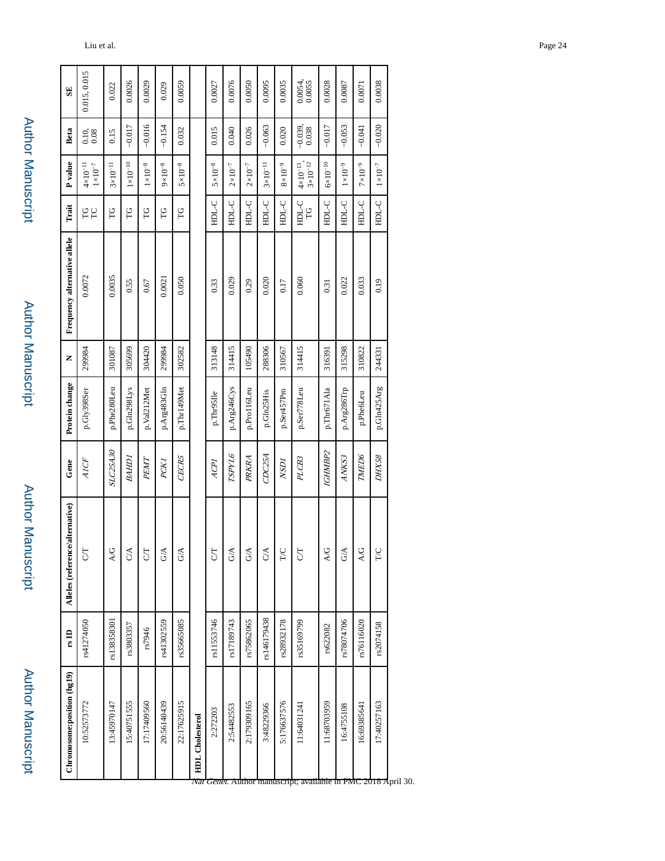| ۰ |
|---|
|   |
|   |
|   |
|   |
| ī |
|   |
|   |
|   |
| I |
|   |
|   |
|   |
|   |
|   |
|   |
|   |
|   |
|   |
|   |
|   |
|   |
|   |
|   |
|   |
|   |
|   |
|   |
|   |
|   |
|   |
| ٠ |
|   |
|   |
|   |
|   |

| Chromosome:position (hg19) | $\mathbf{r}_s$ ID | ce/alternative)<br>Alleles (refereno | Gene                  | Protein change | z      | Frequency alternative allele | Trait            | P value                                    | Beta                                         | SE                |
|----------------------------|-------------------|--------------------------------------|-----------------------|----------------|--------|------------------------------|------------------|--------------------------------------------|----------------------------------------------|-------------------|
| 10:52573772                | rs41274050        | 5                                    | AICF                  | p.Gly398Ser    | 299984 | 0.0072                       | <b>PC</b>        | $4 \times 10^{-11}$ $1 \times 10^{-7}$     | $\begin{array}{c} 0.10, \\ 0.08 \end{array}$ | 0.015, 0.015      |
| 13:45970147                | rs138358301       | A/G                                  | <b>SLC25A30</b>       | p.Phe280Leu    | 301087 | 0.0035                       | P                | $3\times10^{-11}$                          | 0.15                                         | 0.022             |
| 15:40751555                | rs3803357         | $\frac{1}{2}$                        | <b>GHPS</b>           | p.Gln298Lys    | 305699 | 0.55                         | SL               | $1{\times}10^{-10}$                        | $-0.017$                                     | 0.0026            |
| 17:17409560                | rs7946            | 5                                    | PEMT                  | p.Val212Met    | 304420 | 0.67                         | P                | $1\times10^{-8}$                           | $-0.016$                                     | 0.0029            |
| 20:56140439                | rs41302559        | $\Im$                                | PCKI                  | p.Arg483Gln    | 299984 | 0.0021                       | p                | $9 \times 10^{-8}$                         | $-0.154$                                     | 0.029             |
| 22:17625915                | rs35665085        | $\tilde{\sigma}$                     | CECR5                 | p.Thr149Met    | 302582 | 0.050                        | P                | $5\times10^{-8}$                           | 0.032                                        | 0.0059            |
| <b>HDL</b> Cholesterol     |                   |                                      |                       |                |        |                              |                  |                                            |                                              |                   |
| 2:272203                   | rs11553746        | 5                                    | ACPI                  | p.Thr95Ile     | 313148 | 0.33                         | <b>CTCH</b>      | $5 \times 10^{-8}$                         | 0.015                                        | 0.0027            |
| 2:54482553                 | rs17189743        | $\mathcal{S}$                        | <b>SPYL6</b>          | p.Arg246Cys    | 314415 | 0.029                        | <b>CTCH</b>      | $2\times10^{-7}$                           | 0.040                                        | 0.0076            |
| 2:179309165                | rs75862065        | $\tilde{G}^A$                        | PRKRA                 | p.Pro116Leu    | 105490 | 0.29                         | <b>CTGH</b>      | $2\times10^{-7}$                           | 0.026                                        | 0.0050            |
| 3:48229366                 | rs146179438       | $\frac{1}{2}$                        | CDC25A                | p.Gln25His     | 288306 | 0.020                        | <b>CTCH</b>      | $3\times10^{-11}$                          | $-0.063$                                     | 0.0095            |
| 5:176637576                | rs28932178        | F                                    | <b>NSDI</b>           | p.Ser457Pro    | 310567 | 0.17                         | <b>CTCH</b>      | $8\times10^{-9}$                           | 0.020                                        | 0.0035            |
| 11:64031241                | rs35169799        | 5                                    | PLCB3                 | p.Ser778Leu    | 314415 | 0.060                        | <b>CTCH</b><br>E | $4 \times 10^{-13}$ ,<br>$3\times10^{-12}$ | $-0.039, 0.038$                              | 0.0054,<br>0.0055 |
| 11:68703959                | rs622082          | 2)<br>S                              | <i><b>IGHMBP2</b></i> | p.Thr671Ala    | 316391 | 0.31                         | <b>CTGH</b>      | $6\times10^{-10}$                          | $-0.017$                                     | 0.0028            |
| 16:4755108                 | rs78074706        | $\frac{4}{5}$                        | ANKS3                 | p.Arg286Trp    | 315298 | 0.022                        | <b>O-TCHE</b>    | $1\times10^{-9}$                           | $-0.053$                                     | 0.0087            |
| 16:69385641                | rs76116020        | <b>A/G</b>                           | TMED6                 | p.Phe6Leu      | 310822 | 0.033                        | <b>CTCH</b>      | $7{\times}10^{-9}$                         | $-0.041$                                     | 0.0071            |
| 17:40257163                | rs2074158         | ř                                    | DHX58                 | p.Gln425Arg    | 244331 | 0.19                         | <b>CTGH</b>      | $1\times10^{-7}$                           | $-0.020$                                     | 0.0038            |
|                            |                   |                                      |                       |                |        |                              |                  |                                            |                                              |                   |